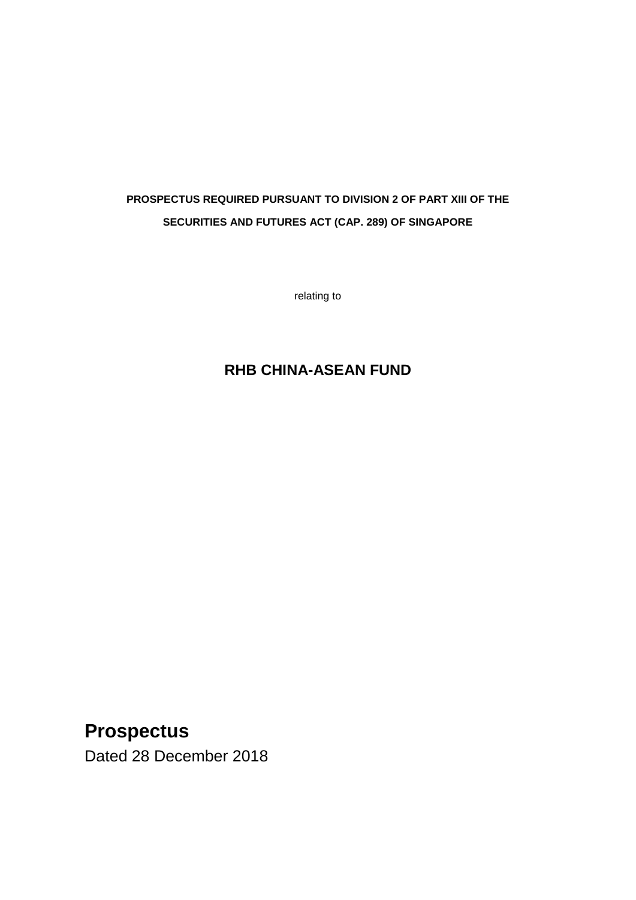# **PROSPECTUS REQUIRED PURSUANT TO DIVISION 2 OF PART XIII OF THE SECURITIES AND FUTURES ACT (CAP. 289) OF SINGAPORE**

relating to

# **RHB CHINA-ASEAN FUND**

# **Prospectus**

Dated 28 December 2018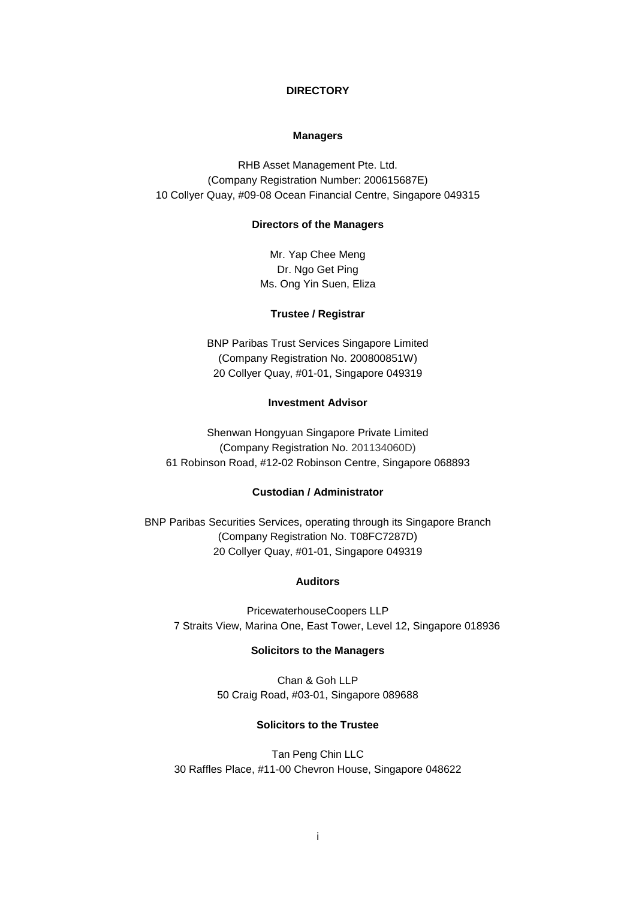### **DIRECTORY**

### **Managers**

RHB Asset Management Pte. Ltd. (Company Registration Number: 200615687E) 10 Collyer Quay, #09-08 Ocean Financial Centre, Singapore 049315

#### **Directors of the Managers**

Mr. Yap Chee Meng Dr. Ngo Get Ping Ms. Ong Yin Suen, Eliza

### **Trustee / Registrar**

BNP Paribas Trust Services Singapore Limited (Company Registration No. 200800851W) 20 Collyer Quay, #01-01, Singapore 049319

# **Investment Advisor**

Shenwan Hongyuan Singapore Private Limited (Company Registration No. 201134060D) 61 Robinson Road, #12-02 Robinson Centre, Singapore 068893

#### **Custodian / Administrator**

BNP Paribas Securities Services, operating through its Singapore Branch (Company Registration No. T08FC7287D) 20 Collyer Quay, #01-01, Singapore 049319

### **Auditors**

PricewaterhouseCoopers LLP 7 Straits View, Marina One, East Tower, Level 12, Singapore 018936

#### **Solicitors to the Managers**

Chan & Goh LLP 50 Craig Road, #03-01, Singapore 089688

# **Solicitors to the Trustee**

Tan Peng Chin LLC 30 Raffles Place, #11-00 Chevron House, Singapore 048622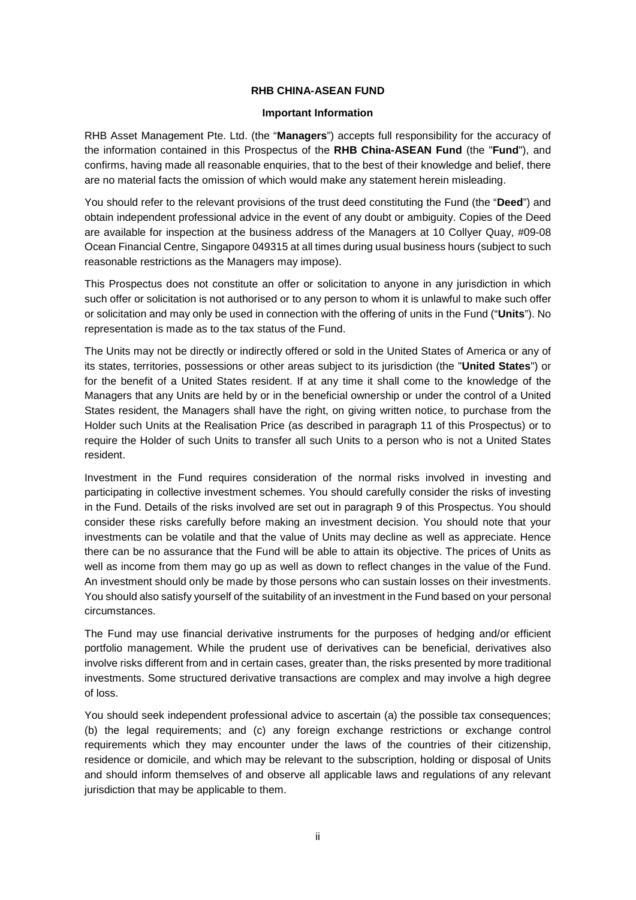### **RHB CHINA-ASEAN FUND**

#### **Important Information**

RHB Asset Management Pte. Ltd. (the "**Managers**") accepts full responsibility for the accuracy of the information contained in this Prospectus of the **RHB China-ASEAN Fund** (the "**Fund**"), and confirms, having made all reasonable enquiries, that to the best of their knowledge and belief, there are no material facts the omission of which would make any statement herein misleading.

You should refer to the relevant provisions of the trust deed constituting the Fund (the "**Deed**") and obtain independent professional advice in the event of any doubt or ambiguity. Copies of the Deed are available for inspection at the business address of the Managers at 10 Collyer Quay, #09-08 Ocean Financial Centre, Singapore 049315 at all times during usual business hours (subject to such reasonable restrictions as the Managers may impose).

This Prospectus does not constitute an offer or solicitation to anyone in any jurisdiction in which such offer or solicitation is not authorised or to any person to whom it is unlawful to make such offer or solicitation and may only be used in connection with the offering of units in the Fund ("**Units**"). No representation is made as to the tax status of the Fund.

The Units may not be directly or indirectly offered or sold in the United States of America or any of its states, territories, possessions or other areas subject to its jurisdiction (the "**United States**") or for the benefit of a United States resident. If at any time it shall come to the knowledge of the Managers that any Units are held by or in the beneficial ownership or under the control of a United States resident, the Managers shall have the right, on giving written notice, to purchase from the Holder such Units at the Realisation Price (as described in paragraph 11 of this Prospectus) or to require the Holder of such Units to transfer all such Units to a person who is not a United States resident.

Investment in the Fund requires consideration of the normal risks involved in investing and participating in collective investment schemes. You should carefully consider the risks of investing in the Fund. Details of the risks involved are set out in paragraph 9 of this Prospectus. You should consider these risks carefully before making an investment decision. You should note that your investments can be volatile and that the value of Units may decline as well as appreciate. Hence there can be no assurance that the Fund will be able to attain its objective. The prices of Units as well as income from them may go up as well as down to reflect changes in the value of the Fund. An investment should only be made by those persons who can sustain losses on their investments. You should also satisfy yourself of the suitability of an investment in the Fund based on your personal circumstances.

The Fund may use financial derivative instruments for the purposes of hedging and/or efficient portfolio management. While the prudent use of derivatives can be beneficial, derivatives also involve risks different from and in certain cases, greater than, the risks presented by more traditional investments. Some structured derivative transactions are complex and may involve a high degree of loss.

You should seek independent professional advice to ascertain (a) the possible tax consequences; (b) the legal requirements; and (c) any foreign exchange restrictions or exchange control requirements which they may encounter under the laws of the countries of their citizenship, residence or domicile, and which may be relevant to the subscription, holding or disposal of Units and should inform themselves of and observe all applicable laws and regulations of any relevant jurisdiction that may be applicable to them.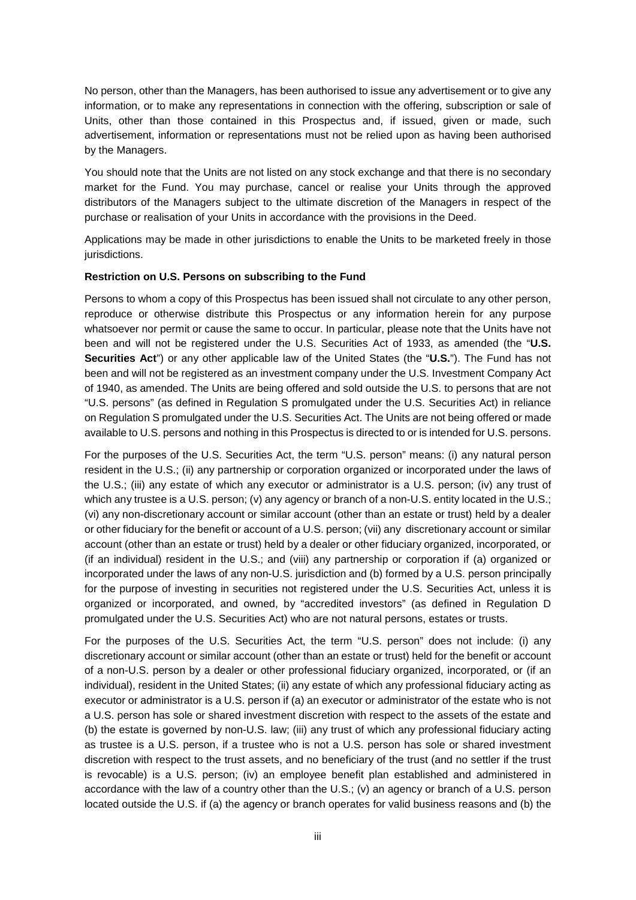No person, other than the Managers, has been authorised to issue any advertisement or to give any information, or to make any representations in connection with the offering, subscription or sale of Units, other than those contained in this Prospectus and, if issued, given or made, such advertisement, information or representations must not be relied upon as having been authorised by the Managers.

You should note that the Units are not listed on any stock exchange and that there is no secondary market for the Fund. You may purchase, cancel or realise your Units through the approved distributors of the Managers subject to the ultimate discretion of the Managers in respect of the purchase or realisation of your Units in accordance with the provisions in the Deed.

Applications may be made in other jurisdictions to enable the Units to be marketed freely in those jurisdictions.

#### **Restriction on U.S. Persons on subscribing to the Fund**

Persons to whom a copy of this Prospectus has been issued shall not circulate to any other person, reproduce or otherwise distribute this Prospectus or any information herein for any purpose whatsoever nor permit or cause the same to occur. In particular, please note that the Units have not been and will not be registered under the U.S. Securities Act of 1933, as amended (the "**U.S. Securities Act**") or any other applicable law of the United States (the "**U.S.**"). The Fund has not been and will not be registered as an investment company under the U.S. Investment Company Act of 1940, as amended. The Units are being offered and sold outside the U.S. to persons that are not "U.S. persons" (as defined in Regulation S promulgated under the U.S. Securities Act) in reliance on Regulation S promulgated under the U.S. Securities Act. The Units are not being offered or made available to U.S. persons and nothing in this Prospectus is directed to or is intended for U.S. persons.

For the purposes of the U.S. Securities Act, the term "U.S. person" means: (i) any natural person resident in the U.S.; (ii) any partnership or corporation organized or incorporated under the laws of the U.S.; (iii) any estate of which any executor or administrator is a U.S. person; (iv) any trust of which any trustee is a U.S. person; (v) any agency or branch of a non-U.S. entity located in the U.S.; (vi) any non-discretionary account or similar account (other than an estate or trust) held by a dealer or other fiduciary for the benefit or account of a U.S. person; (vii) any discretionary account or similar account (other than an estate or trust) held by a dealer or other fiduciary organized, incorporated, or (if an individual) resident in the U.S.; and (viii) any partnership or corporation if (a) organized or incorporated under the laws of any non-U.S. jurisdiction and (b) formed by a U.S. person principally for the purpose of investing in securities not registered under the U.S. Securities Act, unless it is organized or incorporated, and owned, by "accredited investors" (as defined in Regulation D promulgated under the U.S. Securities Act) who are not natural persons, estates or trusts.

For the purposes of the U.S. Securities Act, the term "U.S. person" does not include: (i) any discretionary account or similar account (other than an estate or trust) held for the benefit or account of a non-U.S. person by a dealer or other professional fiduciary organized, incorporated, or (if an individual), resident in the United States; (ii) any estate of which any professional fiduciary acting as executor or administrator is a U.S. person if (a) an executor or administrator of the estate who is not a U.S. person has sole or shared investment discretion with respect to the assets of the estate and (b) the estate is governed by non-U.S. law; (iii) any trust of which any professional fiduciary acting as trustee is a U.S. person, if a trustee who is not a U.S. person has sole or shared investment discretion with respect to the trust assets, and no beneficiary of the trust (and no settler if the trust is revocable) is a U.S. person; (iv) an employee benefit plan established and administered in accordance with the law of a country other than the U.S.; (v) an agency or branch of a U.S. person located outside the U.S. if (a) the agency or branch operates for valid business reasons and (b) the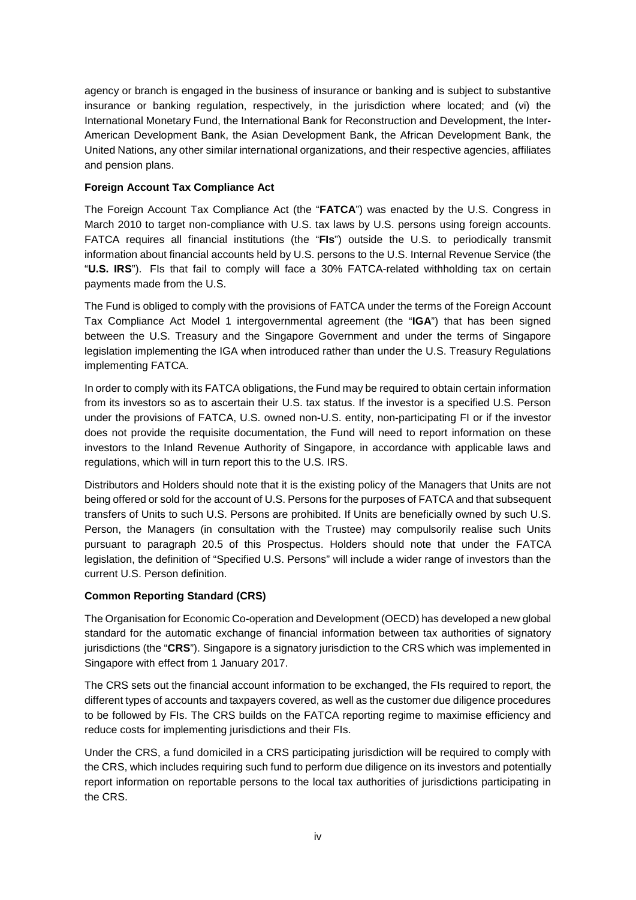agency or branch is engaged in the business of insurance or banking and is subject to substantive insurance or banking regulation, respectively, in the jurisdiction where located; and (vi) the International Monetary Fund, the International Bank for Reconstruction and Development, the Inter-American Development Bank, the Asian Development Bank, the African Development Bank, the United Nations, any other similar international organizations, and their respective agencies, affiliates and pension plans.

# **Foreign Account Tax Compliance Act**

The Foreign Account Tax Compliance Act (the "**FATCA**") was enacted by the U.S. Congress in March 2010 to target non-compliance with U.S. tax laws by U.S. persons using foreign accounts. FATCA requires all financial institutions (the "**FIs**") outside the U.S. to periodically transmit information about financial accounts held by U.S. persons to the U.S. Internal Revenue Service (the "**U.S. IRS**"). FIs that fail to comply will face a 30% FATCA-related withholding tax on certain payments made from the U.S.

The Fund is obliged to comply with the provisions of FATCA under the terms of the Foreign Account Tax Compliance Act Model 1 intergovernmental agreement (the "**IGA**") that has been signed between the U.S. Treasury and the Singapore Government and under the terms of Singapore legislation implementing the IGA when introduced rather than under the U.S. Treasury Regulations implementing FATCA.

In order to comply with its FATCA obligations, the Fund may be required to obtain certain information from its investors so as to ascertain their U.S. tax status. If the investor is a specified U.S. Person under the provisions of FATCA, U.S. owned non-U.S. entity, non-participating FI or if the investor does not provide the requisite documentation, the Fund will need to report information on these investors to the Inland Revenue Authority of Singapore, in accordance with applicable laws and regulations, which will in turn report this to the U.S. IRS.

Distributors and Holders should note that it is the existing policy of the Managers that Units are not being offered or sold for the account of U.S. Persons for the purposes of FATCA and that subsequent transfers of Units to such U.S. Persons are prohibited. If Units are beneficially owned by such U.S. Person, the Managers (in consultation with the Trustee) may compulsorily realise such Units pursuant to paragraph 20.5 of this Prospectus. Holders should note that under the FATCA legislation, the definition of "Specified U.S. Persons" will include a wider range of investors than the current U.S. Person definition.

# **Common Reporting Standard (CRS)**

The Organisation for Economic Co-operation and Development (OECD) has developed a new global standard for the automatic exchange of financial information between tax authorities of signatory jurisdictions (the "**CRS**"). Singapore is a signatory jurisdiction to the CRS which was implemented in Singapore with effect from 1 January 2017.

The CRS sets out the financial account information to be exchanged, the FIs required to report, the different types of accounts and taxpayers covered, as well as the customer due diligence procedures to be followed by FIs. The CRS builds on the FATCA reporting regime to maximise efficiency and reduce costs for implementing jurisdictions and their FIs.

Under the CRS, a fund domiciled in a CRS participating jurisdiction will be required to comply with the CRS, which includes requiring such fund to perform due diligence on its investors and potentially report information on reportable persons to the local tax authorities of jurisdictions participating in the CRS.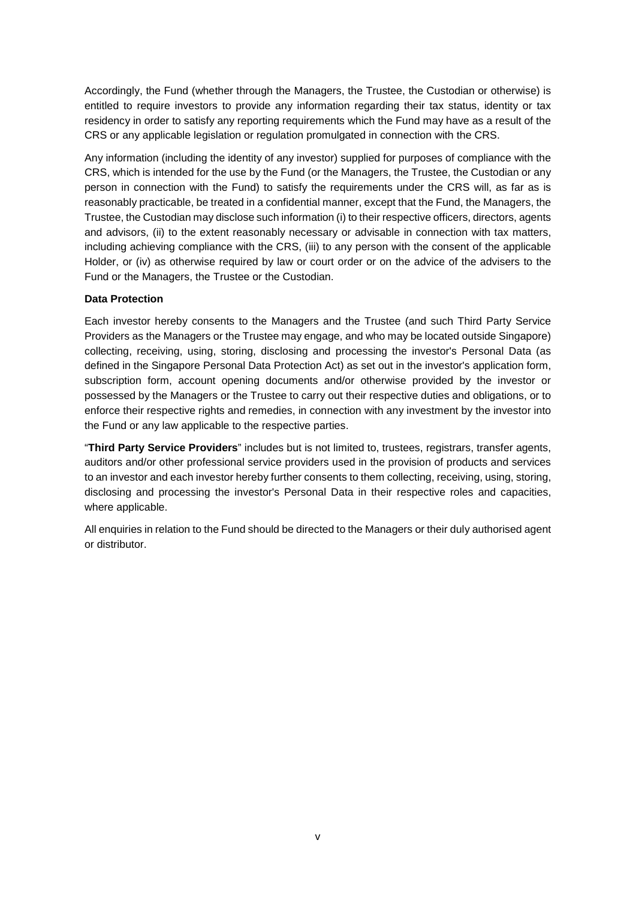Accordingly, the Fund (whether through the Managers, the Trustee, the Custodian or otherwise) is entitled to require investors to provide any information regarding their tax status, identity or tax residency in order to satisfy any reporting requirements which the Fund may have as a result of the CRS or any applicable legislation or regulation promulgated in connection with the CRS.

Any information (including the identity of any investor) supplied for purposes of compliance with the CRS, which is intended for the use by the Fund (or the Managers, the Trustee, the Custodian or any person in connection with the Fund) to satisfy the requirements under the CRS will, as far as is reasonably practicable, be treated in a confidential manner, except that the Fund, the Managers, the Trustee, the Custodian may disclose such information (i) to their respective officers, directors, agents and advisors, (ii) to the extent reasonably necessary or advisable in connection with tax matters, including achieving compliance with the CRS, (iii) to any person with the consent of the applicable Holder, or (iv) as otherwise required by law or court order or on the advice of the advisers to the Fund or the Managers, the Trustee or the Custodian.

# **Data Protection**

Each investor hereby consents to the Managers and the Trustee (and such Third Party Service Providers as the Managers or the Trustee may engage, and who may be located outside Singapore) collecting, receiving, using, storing, disclosing and processing the investor's Personal Data (as defined in the Singapore Personal Data Protection Act) as set out in the investor's application form, subscription form, account opening documents and/or otherwise provided by the investor or possessed by the Managers or the Trustee to carry out their respective duties and obligations, or to enforce their respective rights and remedies, in connection with any investment by the investor into the Fund or any law applicable to the respective parties.

"**Third Party Service Providers**" includes but is not limited to, trustees, registrars, transfer agents, auditors and/or other professional service providers used in the provision of products and services to an investor and each investor hereby further consents to them collecting, receiving, using, storing, disclosing and processing the investor's Personal Data in their respective roles and capacities, where applicable.

All enquiries in relation to the Fund should be directed to the Managers or their duly authorised agent or distributor.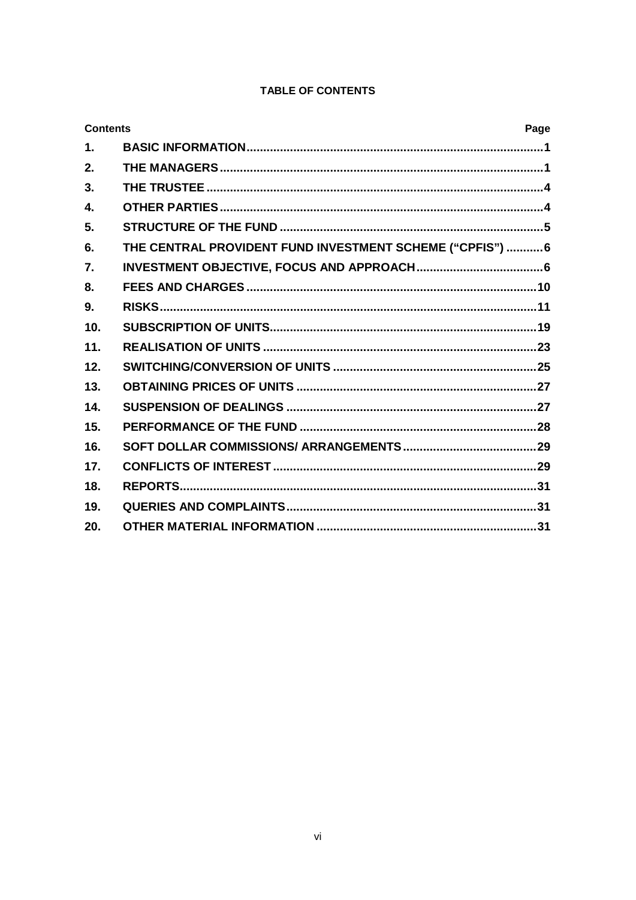# TABLE OF CONTENTS

| <b>Contents</b> |                                                           | Page |
|-----------------|-----------------------------------------------------------|------|
| $\mathbf{1}$ .  |                                                           |      |
| 2.              |                                                           |      |
| 3.              |                                                           |      |
| $\mathbf{4}$    |                                                           |      |
| 5.              |                                                           |      |
| 6.              | THE CENTRAL PROVIDENT FUND INVESTMENT SCHEME ("CPFIS")  6 |      |
| 7.              |                                                           |      |
| 8.              |                                                           |      |
| 9.              |                                                           |      |
| 10.             |                                                           |      |
| 11.             |                                                           |      |
| 12.             |                                                           |      |
| 13.             |                                                           |      |
| 14.             |                                                           |      |
| 15.             |                                                           |      |
| 16.             |                                                           |      |
| 17.             |                                                           |      |
| 18.             |                                                           |      |
| 19.             |                                                           |      |
| 20.             |                                                           |      |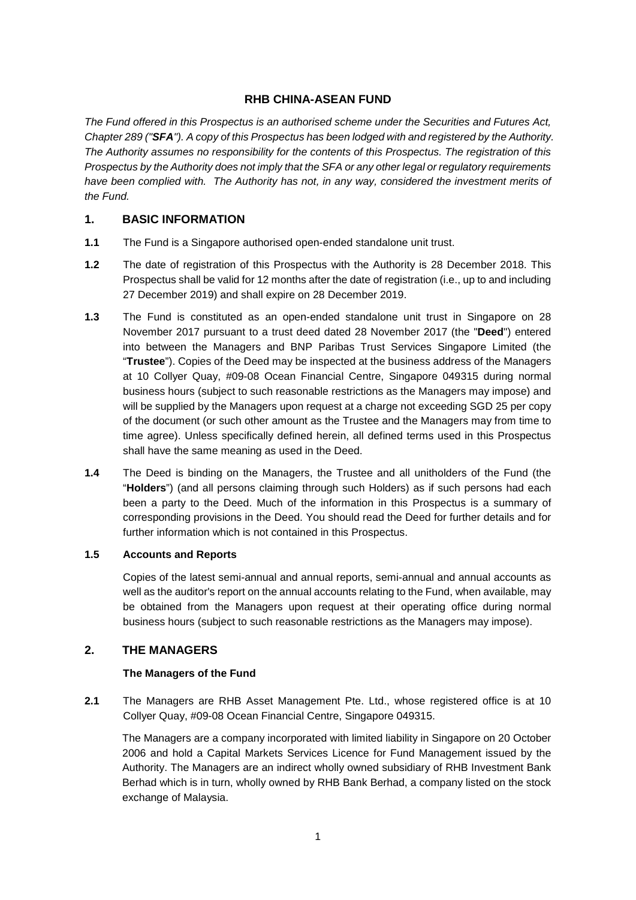# **RHB CHINA-ASEAN FUND**

*The Fund offered in this Prospectus is an authorised scheme under the Securities and Futures Act, Chapter 289 ("SFA"). A copy of this Prospectus has been lodged with and registered by the Authority. The Authority assumes no responsibility for the contents of this Prospectus. The registration of this Prospectus by the Authority does not imply that the SFA or any other legal or regulatory requirements have been complied with. The Authority has not, in any way, considered the investment merits of the Fund.*

# <span id="page-7-0"></span>**1. BASIC INFORMATION**

- **1.1** The Fund is a Singapore authorised open-ended standalone unit trust.
- **1.2** The date of registration of this Prospectus with the Authority is 28 December 2018. This Prospectus shall be valid for 12 months after the date of registration (i.e., up to and including 27 December 2019) and shall expire on 28 December 2019.
- **1.3** The Fund is constituted as an open-ended standalone unit trust in Singapore on 28 November 2017 pursuant to a trust deed dated 28 November 2017 (the "**Deed**") entered into between the Managers and BNP Paribas Trust Services Singapore Limited (the "**Trustee**"). Copies of the Deed may be inspected at the business address of the Managers at 10 Collyer Quay, #09-08 Ocean Financial Centre, Singapore 049315 during normal business hours (subject to such reasonable restrictions as the Managers may impose) and will be supplied by the Managers upon request at a charge not exceeding SGD 25 per copy of the document (or such other amount as the Trustee and the Managers may from time to time agree). Unless specifically defined herein, all defined terms used in this Prospectus shall have the same meaning as used in the Deed.
- **1.4** The Deed is binding on the Managers, the Trustee and all unitholders of the Fund (the "**Holders**") (and all persons claiming through such Holders) as if such persons had each been a party to the Deed. Much of the information in this Prospectus is a summary of corresponding provisions in the Deed. You should read the Deed for further details and for further information which is not contained in this Prospectus.

# **1.5 Accounts and Reports**

Copies of the latest semi-annual and annual reports, semi-annual and annual accounts as well as the auditor's report on the annual accounts relating to the Fund, when available, may be obtained from the Managers upon request at their operating office during normal business hours (subject to such reasonable restrictions as the Managers may impose).

# <span id="page-7-1"></span>**2. THE MANAGERS**

# **The Managers of the Fund**

**2.1** The Managers are RHB Asset Management Pte. Ltd., whose registered office is at 10 Collyer Quay, #09-08 Ocean Financial Centre, Singapore 049315.

The Managers are a company incorporated with limited liability in Singapore on 20 October 2006 and hold a Capital Markets Services Licence for Fund Management issued by the Authority. The Managers are an indirect wholly owned subsidiary of RHB Investment Bank Berhad which is in turn, wholly owned by RHB Bank Berhad, a company listed on the stock exchange of Malaysia.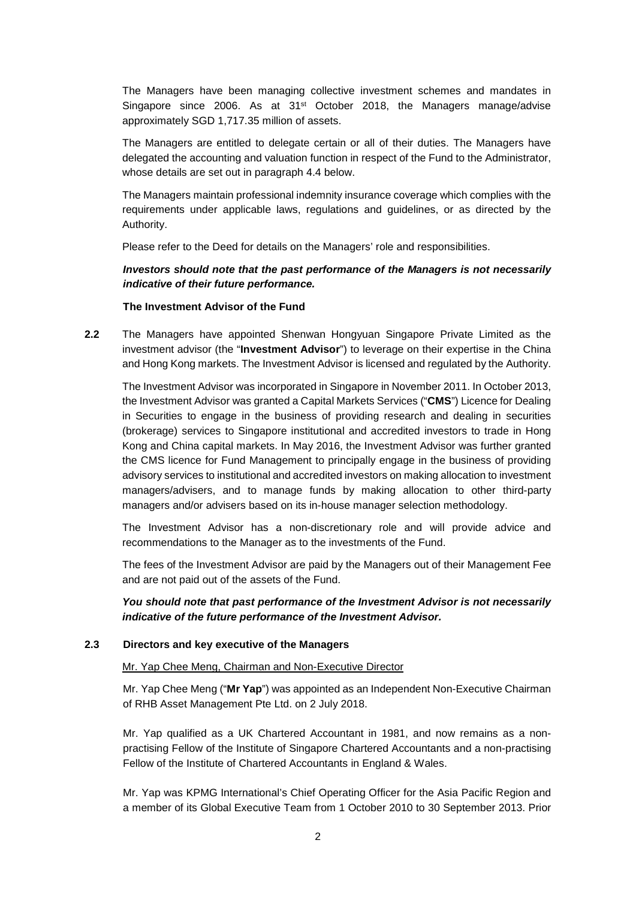The Managers have been managing collective investment schemes and mandates in Singapore since 2006. As at  $31<sup>st</sup>$  October 2018, the Managers manage/advise approximately SGD 1,717.35 million of assets.

The Managers are entitled to delegate certain or all of their duties. The Managers have delegated the accounting and valuation function in respect of the Fund to the Administrator, whose details are set out in paragraph 4.4 below.

The Managers maintain professional indemnity insurance coverage which complies with the requirements under applicable laws, regulations and guidelines, or as directed by the Authority.

Please refer to the Deed for details on the Managers' role and responsibilities.

# *Investors should note that the past performance of the Managers is not necessarily indicative of their future performance.*

#### **The Investment Advisor of the Fund**

**2.2** The Managers have appointed Shenwan Hongyuan Singapore Private Limited as the investment advisor (the "**Investment Advisor**") to leverage on their expertise in the China and Hong Kong markets. The Investment Advisor is licensed and regulated by the Authority.

The Investment Advisor was incorporated in Singapore in November 2011. In October 2013, the Investment Advisor was granted a Capital Markets Services ("**CMS**") Licence for Dealing in Securities to engage in the business of providing research and dealing in securities (brokerage) services to Singapore institutional and accredited investors to trade in Hong Kong and China capital markets. In May 2016, the Investment Advisor was further granted the CMS licence for Fund Management to principally engage in the business of providing advisory services to institutional and accredited investors on making allocation to investment managers/advisers, and to manage funds by making allocation to other third-party managers and/or advisers based on its in-house manager selection methodology.

The Investment Advisor has a non-discretionary role and will provide advice and recommendations to the Manager as to the investments of the Fund.

The fees of the Investment Advisor are paid by the Managers out of their Management Fee and are not paid out of the assets of the Fund.

*You should note that past performance of the Investment Advisor is not necessarily indicative of the future performance of the Investment Advisor.*

#### **2.3 Directors and key executive of the Managers**

### Mr. Yap Chee Meng, Chairman and Non-Executive Director

Mr. Yap Chee Meng ("**Mr Yap**") was appointed as an Independent Non-Executive Chairman of RHB Asset Management Pte Ltd. on 2 July 2018.

Mr. Yap qualified as a UK Chartered Accountant in 1981, and now remains as a nonpractising Fellow of the Institute of Singapore Chartered Accountants and a non-practising Fellow of the Institute of Chartered Accountants in England & Wales.

Mr. Yap was KPMG International's Chief Operating Officer for the Asia Pacific Region and a member of its Global Executive Team from 1 October 2010 to 30 September 2013. Prior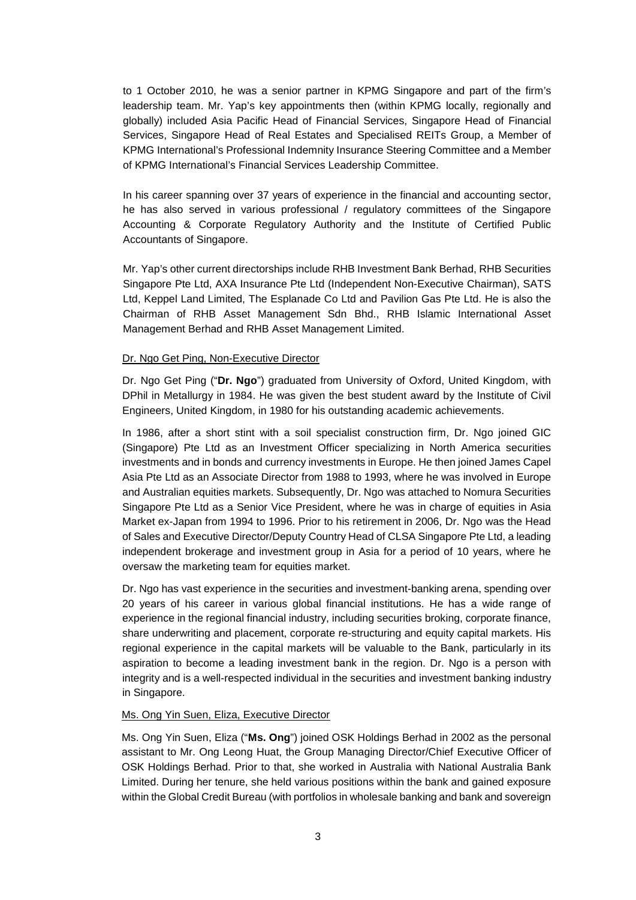to 1 October 2010, he was a senior partner in KPMG Singapore and part of the firm's leadership team. Mr. Yap's key appointments then (within KPMG locally, regionally and globally) included Asia Pacific Head of Financial Services, Singapore Head of Financial Services, Singapore Head of Real Estates and Specialised REITs Group, a Member of KPMG International's Professional Indemnity Insurance Steering Committee and a Member of KPMG International's Financial Services Leadership Committee.

In his career spanning over 37 years of experience in the financial and accounting sector, he has also served in various professional / regulatory committees of the Singapore Accounting & Corporate Regulatory Authority and the Institute of Certified Public Accountants of Singapore.

Mr. Yap's other current directorships include RHB Investment Bank Berhad, RHB Securities Singapore Pte Ltd, AXA Insurance Pte Ltd (Independent Non-Executive Chairman), SATS Ltd, Keppel Land Limited, The Esplanade Co Ltd and Pavilion Gas Pte Ltd. He is also the Chairman of RHB Asset Management Sdn Bhd., RHB Islamic International Asset Management Berhad and RHB Asset Management Limited.

#### Dr. Ngo Get Ping, Non-Executive Director

Dr. Ngo Get Ping ("**Dr. Ngo**") graduated from University of Oxford, United Kingdom, with DPhil in Metallurgy in 1984. He was given the best student award by the Institute of Civil Engineers, United Kingdom, in 1980 for his outstanding academic achievements.

In 1986, after a short stint with a soil specialist construction firm, Dr. Ngo joined GIC (Singapore) Pte Ltd as an Investment Officer specializing in North America securities investments and in bonds and currency investments in Europe. He then joined James Capel Asia Pte Ltd as an Associate Director from 1988 to 1993, where he was involved in Europe and Australian equities markets. Subsequently, Dr. Ngo was attached to Nomura Securities Singapore Pte Ltd as a Senior Vice President, where he was in charge of equities in Asia Market ex-Japan from 1994 to 1996. Prior to his retirement in 2006, Dr. Ngo was the Head of Sales and Executive Director/Deputy Country Head of CLSA Singapore Pte Ltd, a leading independent brokerage and investment group in Asia for a period of 10 years, where he oversaw the marketing team for equities market.

Dr. Ngo has vast experience in the securities and investment-banking arena, spending over 20 years of his career in various global financial institutions. He has a wide range of experience in the regional financial industry, including securities broking, corporate finance, share underwriting and placement, corporate re-structuring and equity capital markets. His regional experience in the capital markets will be valuable to the Bank, particularly in its aspiration to become a leading investment bank in the region. Dr. Ngo is a person with integrity and is a well-respected individual in the securities and investment banking industry in Singapore.

#### Ms. Ong Yin Suen, Eliza, Executive Director

Ms. Ong Yin Suen, Eliza ("**Ms. Ong**") joined OSK Holdings Berhad in 2002 as the personal assistant to Mr. Ong Leong Huat, the Group Managing Director/Chief Executive Officer of OSK Holdings Berhad. Prior to that, she worked in Australia with National Australia Bank Limited. During her tenure, she held various positions within the bank and gained exposure within the Global Credit Bureau (with portfolios in wholesale banking and bank and sovereign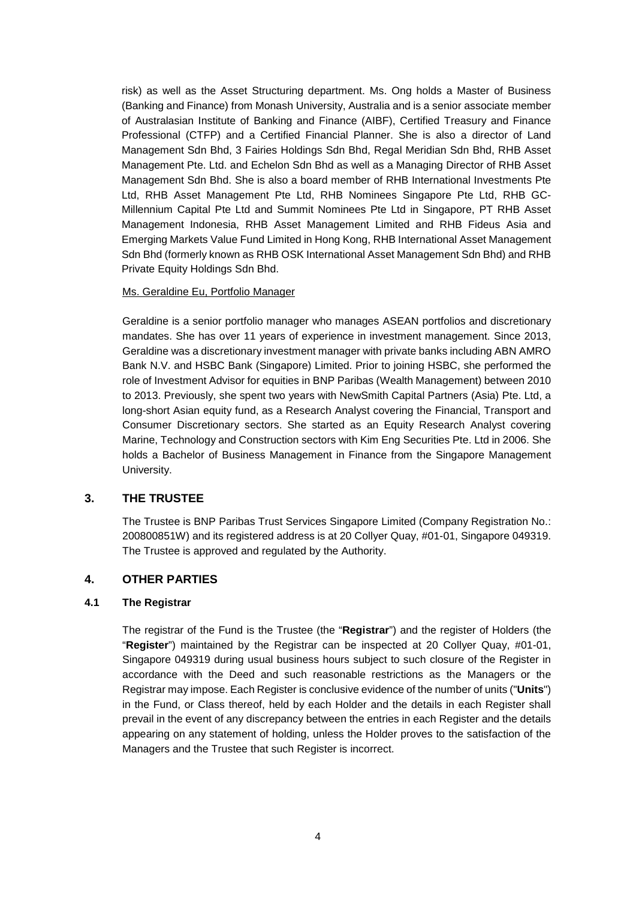risk) as well as the Asset Structuring department. Ms. Ong holds a Master of Business (Banking and Finance) from Monash University, Australia and is a senior associate member of Australasian Institute of Banking and Finance (AIBF), Certified Treasury and Finance Professional (CTFP) and a Certified Financial Planner. She is also a director of Land Management Sdn Bhd, 3 Fairies Holdings Sdn Bhd, Regal Meridian Sdn Bhd, RHB Asset Management Pte. Ltd. and Echelon Sdn Bhd as well as a Managing Director of RHB Asset Management Sdn Bhd. She is also a board member of RHB International Investments Pte Ltd, RHB Asset Management Pte Ltd, RHB Nominees Singapore Pte Ltd, RHB GC-Millennium Capital Pte Ltd and Summit Nominees Pte Ltd in Singapore, PT RHB Asset Management Indonesia, RHB Asset Management Limited and RHB Fideus Asia and Emerging Markets Value Fund Limited in Hong Kong, RHB International Asset Management Sdn Bhd (formerly known as RHB OSK International Asset Management Sdn Bhd) and RHB Private Equity Holdings Sdn Bhd.

### Ms. Geraldine Eu, Portfolio Manager

Geraldine is a senior portfolio manager who manages ASEAN portfolios and discretionary mandates. She has over 11 years of experience in investment management. Since 2013, Geraldine was a discretionary investment manager with private banks including ABN AMRO Bank N.V. and HSBC Bank (Singapore) Limited. Prior to joining HSBC, she performed the role of Investment Advisor for equities in BNP Paribas (Wealth Management) between 2010 to 2013. Previously, she spent two years with NewSmith Capital Partners (Asia) Pte. Ltd, a long-short Asian equity fund, as a Research Analyst covering the Financial, Transport and Consumer Discretionary sectors. She started as an Equity Research Analyst covering Marine, Technology and Construction sectors with Kim Eng Securities Pte. Ltd in 2006. She holds a Bachelor of Business Management in Finance from the Singapore Management University.

### <span id="page-10-0"></span>**3. THE TRUSTEE**

The Trustee is BNP Paribas Trust Services Singapore Limited (Company Registration No.: 200800851W) and its registered address is at 20 Collyer Quay, #01-01, Singapore 049319. The Trustee is approved and regulated by the Authority.

### <span id="page-10-1"></span>**4. OTHER PARTIES**

#### **4.1 The Registrar**

The registrar of the Fund is the Trustee (the "**Registrar**") and the register of Holders (the "**Register**") maintained by the Registrar can be inspected at 20 Collyer Quay, #01-01, Singapore 049319 during usual business hours subject to such closure of the Register in accordance with the Deed and such reasonable restrictions as the Managers or the Registrar may impose. Each Register is conclusive evidence of the number of units ("**Units**") in the Fund, or Class thereof, held by each Holder and the details in each Register shall prevail in the event of any discrepancy between the entries in each Register and the details appearing on any statement of holding, unless the Holder proves to the satisfaction of the Managers and the Trustee that such Register is incorrect.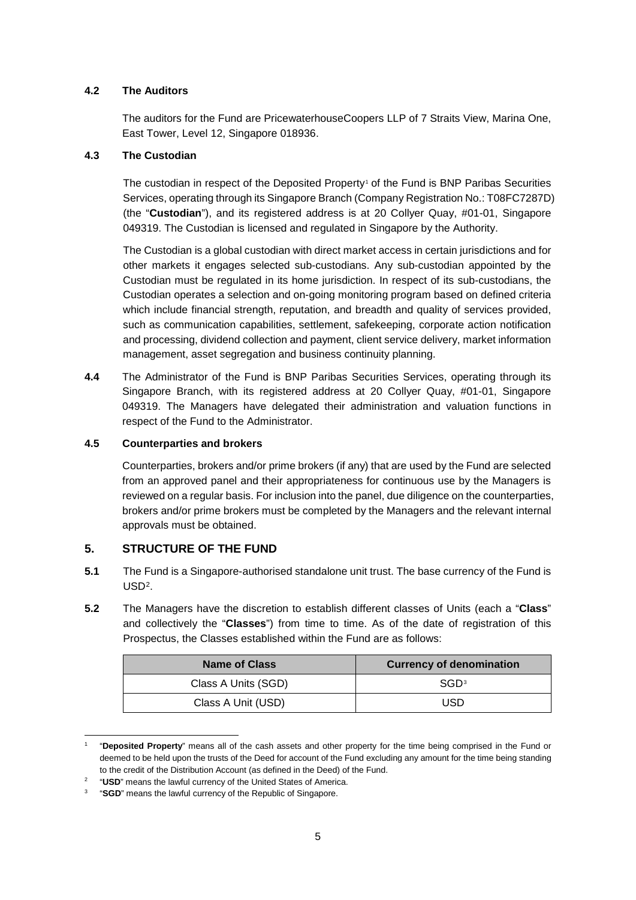# **4.2 The Auditors**

The auditors for the Fund are PricewaterhouseCoopers LLP of 7 Straits View, Marina One, East Tower, Level 12, Singapore 018936.

# **4.3 The Custodian**

The custodian in respect of the Deposited Property<sup>[1](#page-11-1)</sup> of the Fund is BNP Paribas Securities Services, operating through its Singapore Branch (Company Registration No.: T08FC7287D) (the "**Custodian**"), and its registered address is at 20 Collyer Quay, #01-01, Singapore 049319. The Custodian is licensed and regulated in Singapore by the Authority.

The Custodian is a global custodian with direct market access in certain jurisdictions and for other markets it engages selected sub-custodians. Any sub-custodian appointed by the Custodian must be regulated in its home jurisdiction. In respect of its sub-custodians, the Custodian operates a selection and on-going monitoring program based on defined criteria which include financial strength, reputation, and breadth and quality of services provided, such as communication capabilities, settlement, safekeeping, corporate action notification and processing, dividend collection and payment, client service delivery, market information management, asset segregation and business continuity planning.

**4.4** The Administrator of the Fund is BNP Paribas Securities Services, operating through its Singapore Branch, with its registered address at 20 Collyer Quay, #01-01, Singapore 049319. The Managers have delegated their administration and valuation functions in respect of the Fund to the Administrator.

# **4.5 Counterparties and brokers**

Counterparties, brokers and/or prime brokers (if any) that are used by the Fund are selected from an approved panel and their appropriateness for continuous use by the Managers is reviewed on a regular basis. For inclusion into the panel, due diligence on the counterparties, brokers and/or prime brokers must be completed by the Managers and the relevant internal approvals must be obtained.

# <span id="page-11-0"></span>**5. STRUCTURE OF THE FUND**

 $\overline{a}$ 

- **5.1** The Fund is a Singapore-authorised standalone unit trust. The base currency of the Fund is  $USD<sup>2</sup>$  $USD<sup>2</sup>$  $USD<sup>2</sup>$ .
- **5.2** The Managers have the discretion to establish different classes of Units (each a "**Class**" and collectively the "**Classes**") from time to time. As of the date of registration of this Prospectus, the Classes established within the Fund are as follows:

| <b>Name of Class</b> | <b>Currency of denomination</b> |
|----------------------|---------------------------------|
| Class A Units (SGD)  | SGD <sup>3</sup>                |
| Class A Unit (USD)   | USD                             |

<span id="page-11-1"></span><sup>1</sup> "**Deposited Property**" means all of the cash assets and other property for the time being comprised in the Fund or deemed to be held upon the trusts of the Deed for account of the Fund excluding any amount for the time being standing to the credit of the Distribution Account (as defined in the Deed) of the Fund.

<sup>2</sup> "**USD**" means the lawful currency of the United States of America.

<span id="page-11-3"></span><span id="page-11-2"></span><sup>3</sup> "**SGD**" means the lawful currency of the Republic of Singapore.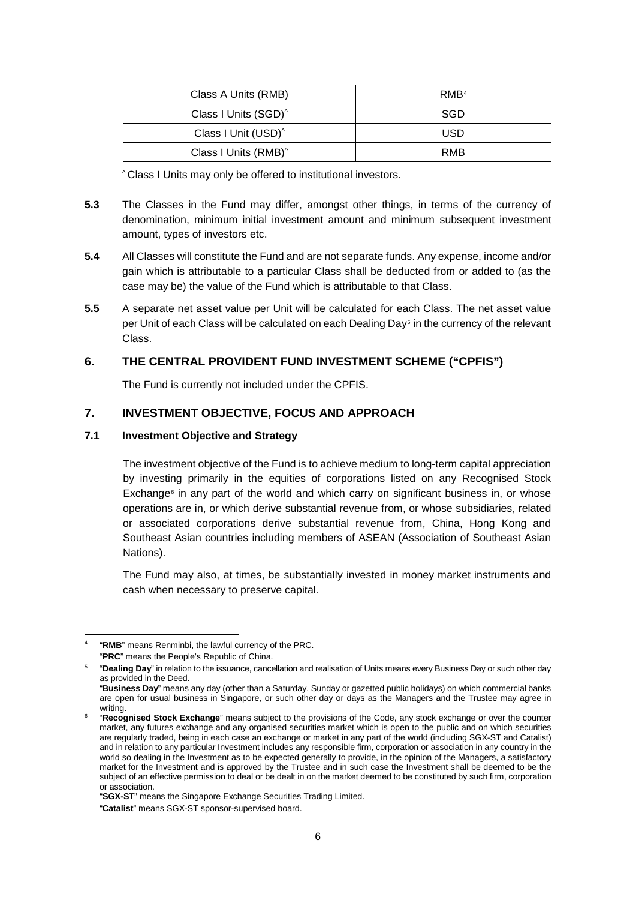| Class A Units (RMB)              | RMB <sup>4</sup> |
|----------------------------------|------------------|
| Class I Units (SGD) <sup>^</sup> | SGD              |
| Class I Unit (USD) <sup>^</sup>  | <b>USD</b>       |
| Class I Units (RMB) <sup>^</sup> | RMB              |

^ Class I Units may only be offered to institutional investors.

- **5.3** The Classes in the Fund may differ, amongst other things, in terms of the currency of denomination, minimum initial investment amount and minimum subsequent investment amount, types of investors etc.
- **5.4** All Classes will constitute the Fund and are not separate funds. Any expense, income and/or gain which is attributable to a particular Class shall be deducted from or added to (as the case may be) the value of the Fund which is attributable to that Class.
- **5.5** A separate net asset value per Unit will be calculated for each Class. The net asset value per Unit of each Class will be calculated on each Dealing Day<sup>5</sup> in the currency of the relevant Class.

# <span id="page-12-0"></span>**6. THE CENTRAL PROVIDENT FUND INVESTMENT SCHEME ("CPFIS")**

The Fund is currently not included under the CPFIS.

# <span id="page-12-1"></span>**7. INVESTMENT OBJECTIVE, FOCUS AND APPROACH**

### **7.1 Investment Objective and Strategy**

The investment objective of the Fund is to achieve medium to long-term capital appreciation by investing primarily in the equities of corporations listed on any Recognised Stock Exchange<sup>[6](#page-12-4)</sup> in any part of the world and which carry on significant business in, or whose operations are in, or which derive substantial revenue from, or whose subsidiaries, related or associated corporations derive substantial revenue from, China, Hong Kong and Southeast Asian countries including members of ASEAN (Association of Southeast Asian Nations).

The Fund may also, at times, be substantially invested in money market instruments and cash when necessary to preserve capital.

 $\overline{a}$ 

<span id="page-12-3"></span><span id="page-12-2"></span><sup>&</sup>quot;RMB" means Renminbi, the lawful currency of the PRC. "**PRC**" means the People's Republic of China.

<sup>5</sup> "**Dealing Day**" in relation to the issuance, cancellation and realisation of Units means every Business Day or such other day as provided in the Deed.

<sup>&</sup>quot;**Business Day**" means any day (other than a Saturday, Sunday or gazetted public holidays) on which commercial banks are open for usual business in Singapore, or such other day or days as the Managers and the Trustee may agree in writing.

<span id="page-12-4"></span><sup>6</sup> "**Recognised Stock Exchange**" means subject to the provisions of the Code, any stock exchange or over the counter market, any futures exchange and any organised securities market which is open to the public and on which securities are regularly traded, being in each case an exchange or market in any part of the world (including SGX-ST and Catalist) and in relation to any particular Investment includes any responsible firm, corporation or association in any country in the world so dealing in the Investment as to be expected generally to provide, in the opinion of the Managers, a satisfactory market for the Investment and is approved by the Trustee and in such case the Investment shall be deemed to be the subject of an effective permission to deal or be dealt in on the market deemed to be constituted by such firm, corporation or association.

<sup>&</sup>quot;**SGX-ST**" means the Singapore Exchange Securities Trading Limited. "**Catalist**" means SGX-ST sponsor-supervised board.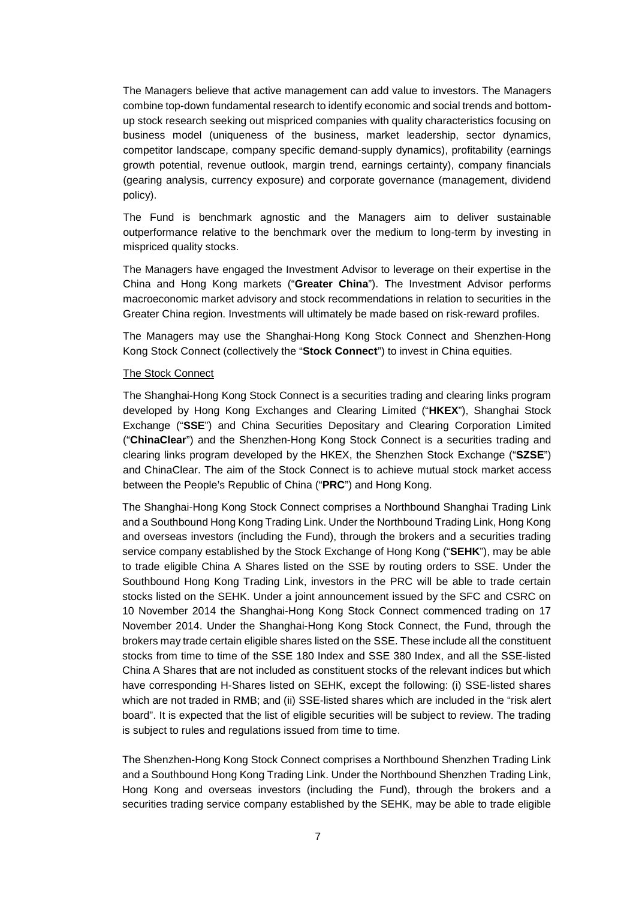The Managers believe that active management can add value to investors. The Managers combine top-down fundamental research to identify economic and social trends and bottomup stock research seeking out mispriced companies with quality characteristics focusing on business model (uniqueness of the business, market leadership, sector dynamics, competitor landscape, company specific demand-supply dynamics), profitability (earnings growth potential, revenue outlook, margin trend, earnings certainty), company financials (gearing analysis, currency exposure) and corporate governance (management, dividend policy).

The Fund is benchmark agnostic and the Managers aim to deliver sustainable outperformance relative to the benchmark over the medium to long-term by investing in mispriced quality stocks.

The Managers have engaged the Investment Advisor to leverage on their expertise in the China and Hong Kong markets ("**Greater China**"). The Investment Advisor performs macroeconomic market advisory and stock recommendations in relation to securities in the Greater China region. Investments will ultimately be made based on risk-reward profiles.

The Managers may use the Shanghai-Hong Kong Stock Connect and Shenzhen-Hong Kong Stock Connect (collectively the "**Stock Connect**") to invest in China equities.

#### The Stock Connect

The Shanghai-Hong Kong Stock Connect is a securities trading and clearing links program developed by Hong Kong Exchanges and Clearing Limited ("**HKEX**"), Shanghai Stock Exchange ("**SSE**") and China Securities Depositary and Clearing Corporation Limited ("**ChinaClear**") and the Shenzhen-Hong Kong Stock Connect is a securities trading and clearing links program developed by the HKEX, the Shenzhen Stock Exchange ("**SZSE**") and ChinaClear. The aim of the Stock Connect is to achieve mutual stock market access between the People's Republic of China ("**PRC**") and Hong Kong.

The Shanghai-Hong Kong Stock Connect comprises a Northbound Shanghai Trading Link and a Southbound Hong Kong Trading Link. Under the Northbound Trading Link, Hong Kong and overseas investors (including the Fund), through the brokers and a securities trading service company established by the Stock Exchange of Hong Kong ("**SEHK**"), may be able to trade eligible China A Shares listed on the SSE by routing orders to SSE. Under the Southbound Hong Kong Trading Link, investors in the PRC will be able to trade certain stocks listed on the SEHK. Under a joint announcement issued by the SFC and CSRC on 10 November 2014 the Shanghai-Hong Kong Stock Connect commenced trading on 17 November 2014. Under the Shanghai-Hong Kong Stock Connect, the Fund, through the brokers may trade certain eligible shares listed on the SSE. These include all the constituent stocks from time to time of the SSE 180 Index and SSE 380 Index, and all the SSE-listed China A Shares that are not included as constituent stocks of the relevant indices but which have corresponding H-Shares listed on SEHK, except the following: (i) SSE-listed shares which are not traded in RMB; and (ii) SSE-listed shares which are included in the "risk alert board". It is expected that the list of eligible securities will be subject to review. The trading is subject to rules and regulations issued from time to time.

The Shenzhen-Hong Kong Stock Connect comprises a Northbound Shenzhen Trading Link and a Southbound Hong Kong Trading Link. Under the Northbound Shenzhen Trading Link, Hong Kong and overseas investors (including the Fund), through the brokers and a securities trading service company established by the SEHK, may be able to trade eligible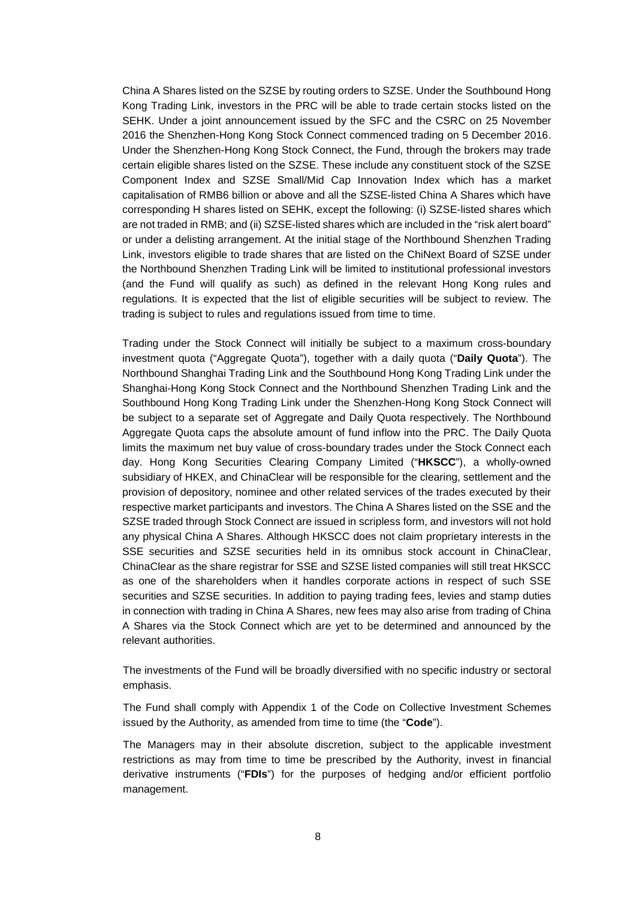China A Shares listed on the SZSE by routing orders to SZSE. Under the Southbound Hong Kong Trading Link, investors in the PRC will be able to trade certain stocks listed on the SEHK. Under a joint announcement issued by the SFC and the CSRC on 25 November 2016 the Shenzhen-Hong Kong Stock Connect commenced trading on 5 December 2016. Under the Shenzhen-Hong Kong Stock Connect, the Fund, through the brokers may trade certain eligible shares listed on the SZSE. These include any constituent stock of the SZSE Component Index and SZSE Small/Mid Cap Innovation Index which has a market capitalisation of RMB6 billion or above and all the SZSE-listed China A Shares which have corresponding H shares listed on SEHK, except the following: (i) SZSE-listed shares which are not traded in RMB; and (ii) SZSE-listed shares which are included in the "risk alert board" or under a delisting arrangement. At the initial stage of the Northbound Shenzhen Trading Link, investors eligible to trade shares that are listed on the ChiNext Board of SZSE under the Northbound Shenzhen Trading Link will be limited to institutional professional investors (and the Fund will qualify as such) as defined in the relevant Hong Kong rules and regulations. It is expected that the list of eligible securities will be subject to review. The trading is subject to rules and regulations issued from time to time.

Trading under the Stock Connect will initially be subject to a maximum cross-boundary investment quota ("Aggregate Quota"), together with a daily quota ("**Daily Quota**"). The Northbound Shanghai Trading Link and the Southbound Hong Kong Trading Link under the Shanghai-Hong Kong Stock Connect and the Northbound Shenzhen Trading Link and the Southbound Hong Kong Trading Link under the Shenzhen-Hong Kong Stock Connect will be subject to a separate set of Aggregate and Daily Quota respectively. The Northbound Aggregate Quota caps the absolute amount of fund inflow into the PRC. The Daily Quota limits the maximum net buy value of cross-boundary trades under the Stock Connect each day. Hong Kong Securities Clearing Company Limited ("**HKSCC**"), a wholly-owned subsidiary of HKEX, and ChinaClear will be responsible for the clearing, settlement and the provision of depository, nominee and other related services of the trades executed by their respective market participants and investors. The China A Shares listed on the SSE and the SZSE traded through Stock Connect are issued in scripless form, and investors will not hold any physical China A Shares. Although HKSCC does not claim proprietary interests in the SSE securities and SZSE securities held in its omnibus stock account in ChinaClear, ChinaClear as the share registrar for SSE and SZSE listed companies will still treat HKSCC as one of the shareholders when it handles corporate actions in respect of such SSE securities and SZSE securities. In addition to paying trading fees, levies and stamp duties in connection with trading in China A Shares, new fees may also arise from trading of China A Shares via the Stock Connect which are yet to be determined and announced by the relevant authorities.

The investments of the Fund will be broadly diversified with no specific industry or sectoral emphasis.

The Fund shall comply with Appendix 1 of the Code on Collective Investment Schemes issued by the Authority, as amended from time to time (the "**Code**").

The Managers may in their absolute discretion, subject to the applicable investment restrictions as may from time to time be prescribed by the Authority, invest in financial derivative instruments ("**FDIs**") for the purposes of hedging and/or efficient portfolio management.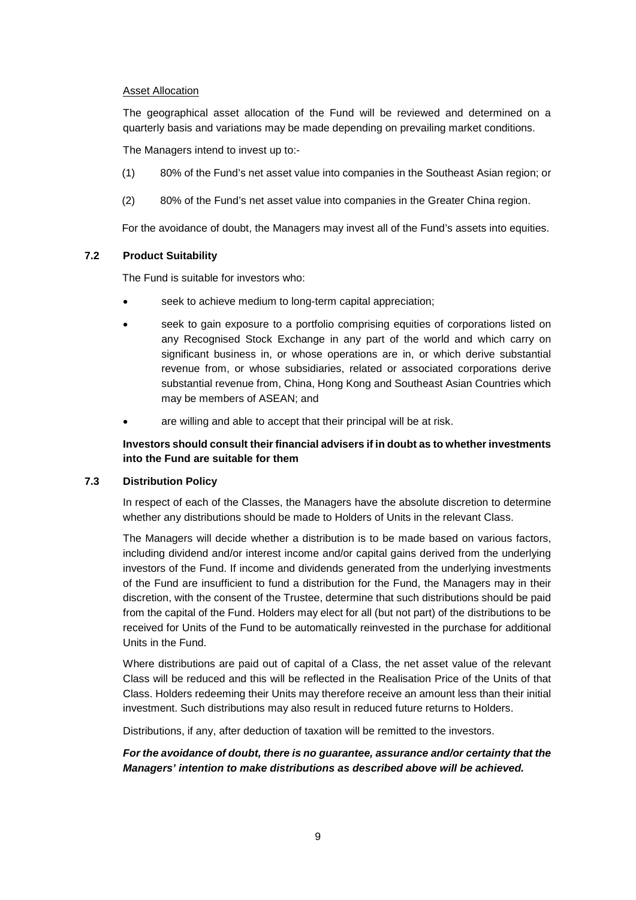# Asset Allocation

The geographical asset allocation of the Fund will be reviewed and determined on a quarterly basis and variations may be made depending on prevailing market conditions.

The Managers intend to invest up to:-

- (1) 80% of the Fund's net asset value into companies in the Southeast Asian region; or
- (2) 80% of the Fund's net asset value into companies in the Greater China region.

For the avoidance of doubt, the Managers may invest all of the Fund's assets into equities.

### **7.2 Product Suitability**

The Fund is suitable for investors who:

- seek to achieve medium to long-term capital appreciation;
- seek to gain exposure to a portfolio comprising equities of corporations listed on any Recognised Stock Exchange in any part of the world and which carry on significant business in, or whose operations are in, or which derive substantial revenue from, or whose subsidiaries, related or associated corporations derive substantial revenue from, China, Hong Kong and Southeast Asian Countries which may be members of ASEAN; and
- are willing and able to accept that their principal will be at risk.

# **Investors should consult their financial advisers if in doubt as to whether investments into the Fund are suitable for them**

# **7.3 Distribution Policy**

In respect of each of the Classes, the Managers have the absolute discretion to determine whether any distributions should be made to Holders of Units in the relevant Class.

The Managers will decide whether a distribution is to be made based on various factors, including dividend and/or interest income and/or capital gains derived from the underlying investors of the Fund. If income and dividends generated from the underlying investments of the Fund are insufficient to fund a distribution for the Fund, the Managers may in their discretion, with the consent of the Trustee, determine that such distributions should be paid from the capital of the Fund. Holders may elect for all (but not part) of the distributions to be received for Units of the Fund to be automatically reinvested in the purchase for additional Units in the Fund.

Where distributions are paid out of capital of a Class, the net asset value of the relevant Class will be reduced and this will be reflected in the Realisation Price of the Units of that Class. Holders redeeming their Units may therefore receive an amount less than their initial investment. Such distributions may also result in reduced future returns to Holders.

Distributions, if any, after deduction of taxation will be remitted to the investors.

# *For the avoidance of doubt, there is no guarantee, assurance and/or certainty that the Managers' intention to make distributions as described above will be achieved.*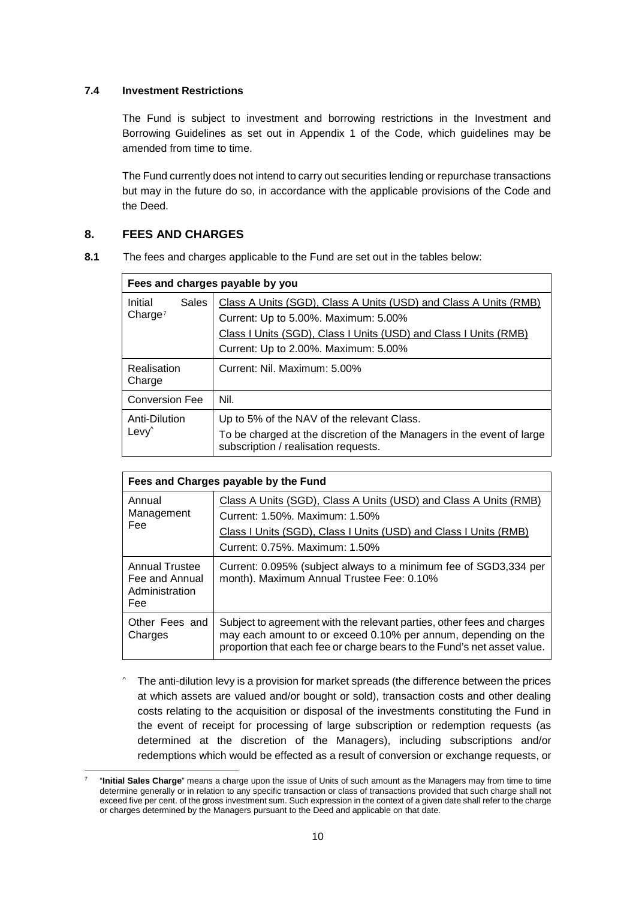# **7.4 Investment Restrictions**

The Fund is subject to investment and borrowing restrictions in the Investment and Borrowing Guidelines as set out in Appendix 1 of the Code, which guidelines may be amended from time to time.

The Fund currently does not intend to carry out securities lending or repurchase transactions but may in the future do so, in accordance with the applicable provisions of the Code and the Deed.

# <span id="page-16-0"></span>**8. FEES AND CHARGES**

**8.1** The fees and charges applicable to the Fund are set out in the tables below:

| Fees and charges payable by you    |              |                                                                                                                                                                                                                      |  |  |  |  |
|------------------------------------|--------------|----------------------------------------------------------------------------------------------------------------------------------------------------------------------------------------------------------------------|--|--|--|--|
| Initial<br>Change <sup>7</sup>     | <b>Sales</b> | Class A Units (SGD), Class A Units (USD) and Class A Units (RMB)<br>Current: Up to 5.00%. Maximum: 5.00%<br>Class I Units (SGD), Class I Units (USD) and Class I Units (RMB)<br>Current: Up to 2.00%. Maximum: 5.00% |  |  |  |  |
| Realisation<br>Charge              |              | Current: Nil. Maximum: 5.00%                                                                                                                                                                                         |  |  |  |  |
| <b>Conversion Fee</b>              |              | Nil.                                                                                                                                                                                                                 |  |  |  |  |
| Anti-Dilution<br>Levy <sup>^</sup> |              | Up to 5% of the NAV of the relevant Class.<br>To be charged at the discretion of the Managers in the event of large<br>subscription / realisation requests.                                                          |  |  |  |  |

| Fees and Charges payable by the Fund                             |                                                                                                                                                                                                                     |  |  |  |  |  |
|------------------------------------------------------------------|---------------------------------------------------------------------------------------------------------------------------------------------------------------------------------------------------------------------|--|--|--|--|--|
| Annual<br>Management<br>Fee                                      | Class A Units (SGD), Class A Units (USD) and Class A Units (RMB)<br>Current: 1.50%. Maximum: 1.50%<br>Class I Units (SGD), Class I Units (USD) and Class I Units (RMB)<br>Current: 0.75%. Maximum: 1.50%            |  |  |  |  |  |
| <b>Annual Trustee</b><br>Fee and Annual<br>Administration<br>Fee | Current: 0.095% (subject always to a minimum fee of SGD3,334 per<br>month). Maximum Annual Trustee Fee: 0.10%                                                                                                       |  |  |  |  |  |
| Other Fees and<br>Charges                                        | Subject to agreement with the relevant parties, other fees and charges<br>may each amount to or exceed 0.10% per annum, depending on the<br>proportion that each fee or charge bears to the Fund's net asset value. |  |  |  |  |  |

The anti-dilution levy is a provision for market spreads (the difference between the prices at which assets are valued and/or bought or sold), transaction costs and other dealing costs relating to the acquisition or disposal of the investments constituting the Fund in the event of receipt for processing of large subscription or redemption requests (as determined at the discretion of the Managers), including subscriptions and/or redemptions which would be effected as a result of conversion or exchange requests, or

<span id="page-16-1"></span> <sup>7</sup> "**Initial Sales Charge**" means a charge upon the issue of Units of such amount as the Managers may from time to time determine generally or in relation to any specific transaction or class of transactions provided that such charge shall not exceed five per cent. of the gross investment sum. Such expression in the context of a given date shall refer to the charge or charges determined by the Managers pursuant to the Deed and applicable on that date.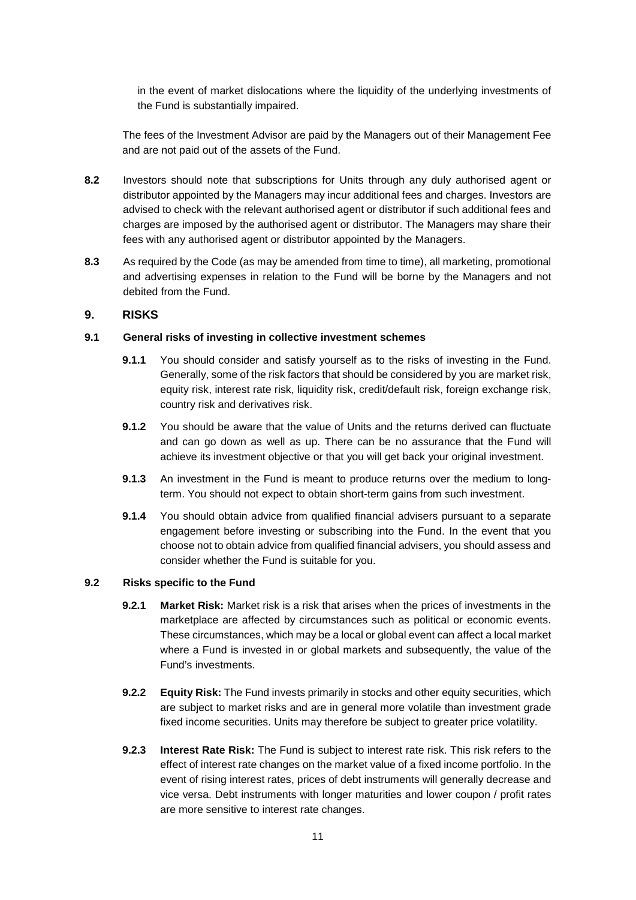in the event of market dislocations where the liquidity of the underlying investments of the Fund is substantially impaired.

The fees of the Investment Advisor are paid by the Managers out of their Management Fee and are not paid out of the assets of the Fund.

- **8.2** Investors should note that subscriptions for Units through any duly authorised agent or distributor appointed by the Managers may incur additional fees and charges. Investors are advised to check with the relevant authorised agent or distributor if such additional fees and charges are imposed by the authorised agent or distributor. The Managers may share their fees with any authorised agent or distributor appointed by the Managers.
- **8.3** As required by the Code (as may be amended from time to time), all marketing, promotional and advertising expenses in relation to the Fund will be borne by the Managers and not debited from the Fund.

### <span id="page-17-0"></span>**9. RISKS**

### **9.1 General risks of investing in collective investment schemes**

- **9.1.1** You should consider and satisfy yourself as to the risks of investing in the Fund. Generally, some of the risk factors that should be considered by you are market risk, equity risk, interest rate risk, liquidity risk, credit/default risk, foreign exchange risk, country risk and derivatives risk.
- **9.1.2** You should be aware that the value of Units and the returns derived can fluctuate and can go down as well as up. There can be no assurance that the Fund will achieve its investment objective or that you will get back your original investment.
- **9.1.3** An investment in the Fund is meant to produce returns over the medium to longterm. You should not expect to obtain short-term gains from such investment.
- **9.1.4** You should obtain advice from qualified financial advisers pursuant to a separate engagement before investing or subscribing into the Fund. In the event that you choose not to obtain advice from qualified financial advisers, you should assess and consider whether the Fund is suitable for you.

### **9.2 Risks specific to the Fund**

- **9.2.1 Market Risk:** Market risk is a risk that arises when the prices of investments in the marketplace are affected by circumstances such as political or economic events. These circumstances, which may be a local or global event can affect a local market where a Fund is invested in or global markets and subsequently, the value of the Fund's investments.
- **9.2.2 Equity Risk:** The Fund invests primarily in stocks and other equity securities, which are subject to market risks and are in general more volatile than investment grade fixed income securities. Units may therefore be subject to greater price volatility.
- **9.2.3 Interest Rate Risk:** The Fund is subject to interest rate risk. This risk refers to the effect of interest rate changes on the market value of a fixed income portfolio. In the event of rising interest rates, prices of debt instruments will generally decrease and vice versa. Debt instruments with longer maturities and lower coupon / profit rates are more sensitive to interest rate changes.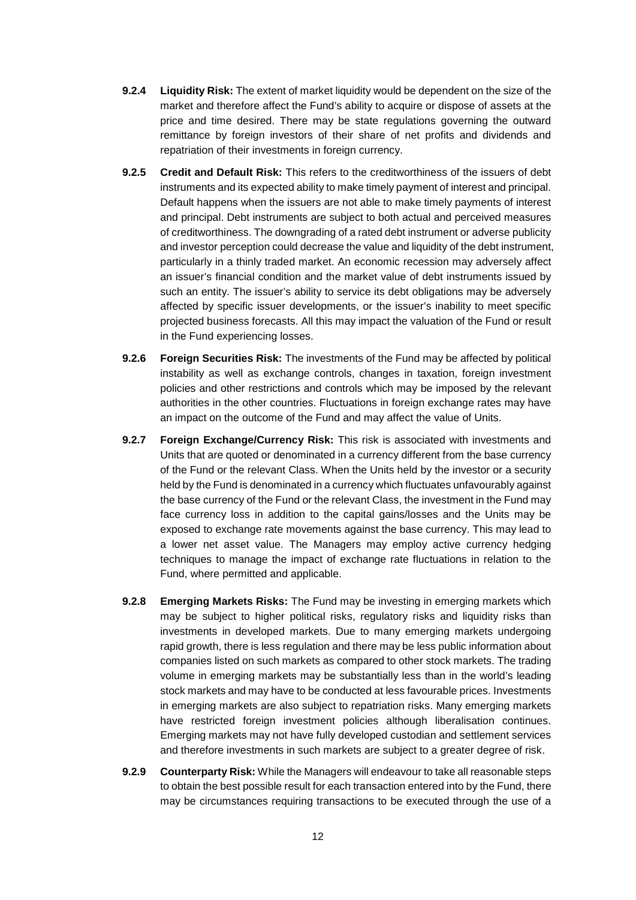- **9.2.4 Liquidity Risk:** The extent of market liquidity would be dependent on the size of the market and therefore affect the Fund's ability to acquire or dispose of assets at the price and time desired. There may be state regulations governing the outward remittance by foreign investors of their share of net profits and dividends and repatriation of their investments in foreign currency.
- **9.2.5 Credit and Default Risk:** This refers to the creditworthiness of the issuers of debt instruments and its expected ability to make timely payment of interest and principal. Default happens when the issuers are not able to make timely payments of interest and principal. Debt instruments are subject to both actual and perceived measures of creditworthiness. The downgrading of a rated debt instrument or adverse publicity and investor perception could decrease the value and liquidity of the debt instrument, particularly in a thinly traded market. An economic recession may adversely affect an issuer's financial condition and the market value of debt instruments issued by such an entity. The issuer's ability to service its debt obligations may be adversely affected by specific issuer developments, or the issuer's inability to meet specific projected business forecasts. All this may impact the valuation of the Fund or result in the Fund experiencing losses.
- **9.2.6 Foreign Securities Risk:** The investments of the Fund may be affected by political instability as well as exchange controls, changes in taxation, foreign investment policies and other restrictions and controls which may be imposed by the relevant authorities in the other countries. Fluctuations in foreign exchange rates may have an impact on the outcome of the Fund and may affect the value of Units.
- **9.2.7 Foreign Exchange/Currency Risk:** This risk is associated with investments and Units that are quoted or denominated in a currency different from the base currency of the Fund or the relevant Class. When the Units held by the investor or a security held by the Fund is denominated in a currency which fluctuates unfavourably against the base currency of the Fund or the relevant Class, the investment in the Fund may face currency loss in addition to the capital gains/losses and the Units may be exposed to exchange rate movements against the base currency. This may lead to a lower net asset value. The Managers may employ active currency hedging techniques to manage the impact of exchange rate fluctuations in relation to the Fund, where permitted and applicable.
- **9.2.8 Emerging Markets Risks:** The Fund may be investing in emerging markets which may be subject to higher political risks, regulatory risks and liquidity risks than investments in developed markets. Due to many emerging markets undergoing rapid growth, there is less regulation and there may be less public information about companies listed on such markets as compared to other stock markets. The trading volume in emerging markets may be substantially less than in the world's leading stock markets and may have to be conducted at less favourable prices. Investments in emerging markets are also subject to repatriation risks. Many emerging markets have restricted foreign investment policies although liberalisation continues. Emerging markets may not have fully developed custodian and settlement services and therefore investments in such markets are subject to a greater degree of risk.
- **9.2.9 Counterparty Risk:** While the Managers will endeavour to take all reasonable steps to obtain the best possible result for each transaction entered into by the Fund, there may be circumstances requiring transactions to be executed through the use of a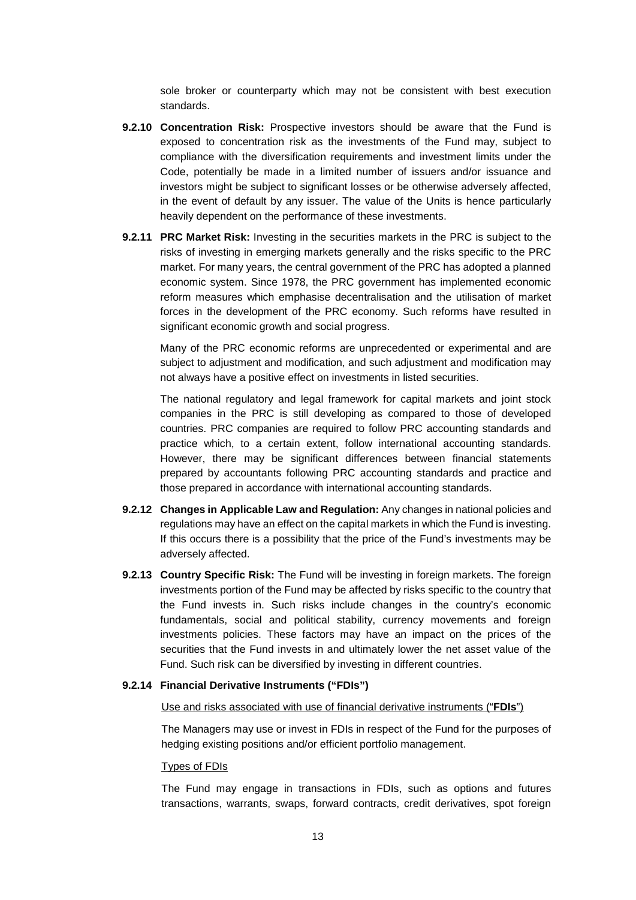sole broker or counterparty which may not be consistent with best execution standards.

- **9.2.10 Concentration Risk:** Prospective investors should be aware that the Fund is exposed to concentration risk as the investments of the Fund may, subject to compliance with the diversification requirements and investment limits under the Code, potentially be made in a limited number of issuers and/or issuance and investors might be subject to significant losses or be otherwise adversely affected, in the event of default by any issuer. The value of the Units is hence particularly heavily dependent on the performance of these investments.
- **9.2.11 PRC Market Risk:** Investing in the securities markets in the PRC is subject to the risks of investing in emerging markets generally and the risks specific to the PRC market. For many years, the central government of the PRC has adopted a planned economic system. Since 1978, the PRC government has implemented economic reform measures which emphasise decentralisation and the utilisation of market forces in the development of the PRC economy. Such reforms have resulted in significant economic growth and social progress.

Many of the PRC economic reforms are unprecedented or experimental and are subject to adjustment and modification, and such adjustment and modification may not always have a positive effect on investments in listed securities.

The national regulatory and legal framework for capital markets and joint stock companies in the PRC is still developing as compared to those of developed countries. PRC companies are required to follow PRC accounting standards and practice which, to a certain extent, follow international accounting standards. However, there may be significant differences between financial statements prepared by accountants following PRC accounting standards and practice and those prepared in accordance with international accounting standards.

- **9.2.12 Changes in Applicable Law and Regulation:** Any changes in national policies and regulations may have an effect on the capital markets in which the Fund is investing. If this occurs there is a possibility that the price of the Fund's investments may be adversely affected.
- **9.2.13 Country Specific Risk:** The Fund will be investing in foreign markets. The foreign investments portion of the Fund may be affected by risks specific to the country that the Fund invests in. Such risks include changes in the country's economic fundamentals, social and political stability, currency movements and foreign investments policies. These factors may have an impact on the prices of the securities that the Fund invests in and ultimately lower the net asset value of the Fund. Such risk can be diversified by investing in different countries.

#### **9.2.14 Financial Derivative Instruments ("FDIs")**

#### Use and risks associated with use of financial derivative instruments ("**FDIs**")

The Managers may use or invest in FDIs in respect of the Fund for the purposes of hedging existing positions and/or efficient portfolio management.

#### Types of FDIs

The Fund may engage in transactions in FDIs, such as options and futures transactions, warrants, swaps, forward contracts, credit derivatives, spot foreign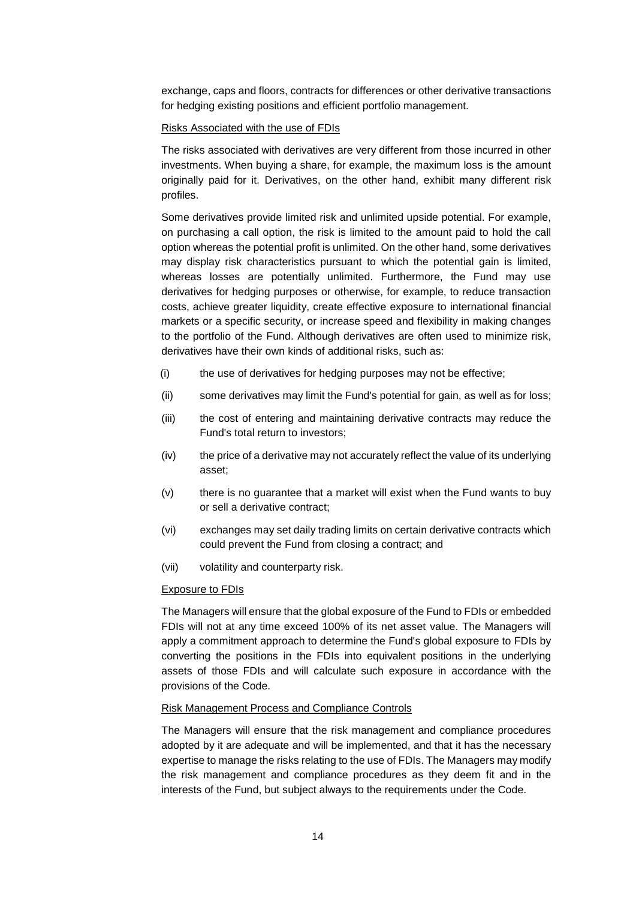exchange, caps and floors, contracts for differences or other derivative transactions for hedging existing positions and efficient portfolio management.

#### Risks Associated with the use of FDIs

The risks associated with derivatives are very different from those incurred in other investments. When buying a share, for example, the maximum loss is the amount originally paid for it. Derivatives, on the other hand, exhibit many different risk profiles.

Some derivatives provide limited risk and unlimited upside potential. For example, on purchasing a call option, the risk is limited to the amount paid to hold the call option whereas the potential profit is unlimited. On the other hand, some derivatives may display risk characteristics pursuant to which the potential gain is limited, whereas losses are potentially unlimited. Furthermore, the Fund may use derivatives for hedging purposes or otherwise, for example, to reduce transaction costs, achieve greater liquidity, create effective exposure to international financial markets or a specific security, or increase speed and flexibility in making changes to the portfolio of the Fund. Although derivatives are often used to minimize risk, derivatives have their own kinds of additional risks, such as:

- (i) the use of derivatives for hedging purposes may not be effective;
- (ii) some derivatives may limit the Fund's potential for gain, as well as for loss;
- (iii) the cost of entering and maintaining derivative contracts may reduce the Fund's total return to investors;
- (iv) the price of a derivative may not accurately reflect the value of its underlying asset;
- (v) there is no guarantee that a market will exist when the Fund wants to buy or sell a derivative contract;
- (vi) exchanges may set daily trading limits on certain derivative contracts which could prevent the Fund from closing a contract; and
- (vii) volatility and counterparty risk.

#### Exposure to FDIs

The Managers will ensure that the global exposure of the Fund to FDIs or embedded FDIs will not at any time exceed 100% of its net asset value. The Managers will apply a commitment approach to determine the Fund's global exposure to FDIs by converting the positions in the FDIs into equivalent positions in the underlying assets of those FDIs and will calculate such exposure in accordance with the provisions of the Code.

#### Risk Management Process and Compliance Controls

The Managers will ensure that the risk management and compliance procedures adopted by it are adequate and will be implemented, and that it has the necessary expertise to manage the risks relating to the use of FDIs. The Managers may modify the risk management and compliance procedures as they deem fit and in the interests of the Fund, but subject always to the requirements under the Code.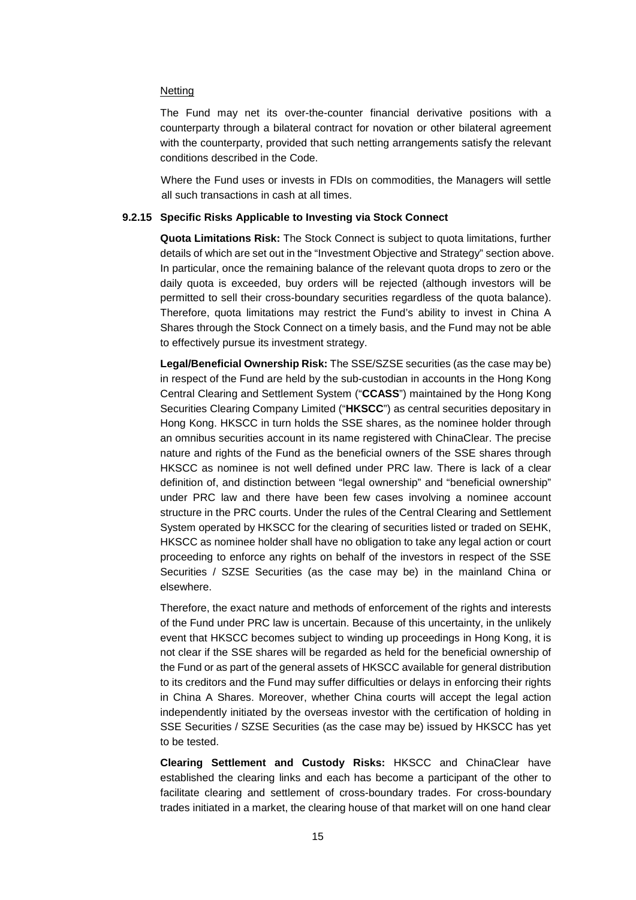#### **Netting**

The Fund may net its over-the-counter financial derivative positions with a counterparty through a bilateral contract for novation or other bilateral agreement with the counterparty, provided that such netting arrangements satisfy the relevant conditions described in the Code.

Where the Fund uses or invests in FDIs on commodities, the Managers will settle all such transactions in cash at all times.

#### **9.2.15 Specific Risks Applicable to Investing via Stock Connect**

**Quota Limitations Risk:** The Stock Connect is subject to quota limitations, further details of which are set out in the "Investment Objective and Strategy" section above. In particular, once the remaining balance of the relevant quota drops to zero or the daily quota is exceeded, buy orders will be rejected (although investors will be permitted to sell their cross-boundary securities regardless of the quota balance). Therefore, quota limitations may restrict the Fund's ability to invest in China A Shares through the Stock Connect on a timely basis, and the Fund may not be able to effectively pursue its investment strategy.

**Legal/Beneficial Ownership Risk:** The SSE/SZSE securities (as the case may be) in respect of the Fund are held by the sub-custodian in accounts in the Hong Kong Central Clearing and Settlement System ("**CCASS**") maintained by the Hong Kong Securities Clearing Company Limited ("**HKSCC**") as central securities depositary in Hong Kong. HKSCC in turn holds the SSE shares, as the nominee holder through an omnibus securities account in its name registered with ChinaClear. The precise nature and rights of the Fund as the beneficial owners of the SSE shares through HKSCC as nominee is not well defined under PRC law. There is lack of a clear definition of, and distinction between "legal ownership" and "beneficial ownership" under PRC law and there have been few cases involving a nominee account structure in the PRC courts. Under the rules of the Central Clearing and Settlement System operated by HKSCC for the clearing of securities listed or traded on SEHK, HKSCC as nominee holder shall have no obligation to take any legal action or court proceeding to enforce any rights on behalf of the investors in respect of the SSE Securities / SZSE Securities (as the case may be) in the mainland China or elsewhere.

Therefore, the exact nature and methods of enforcement of the rights and interests of the Fund under PRC law is uncertain. Because of this uncertainty, in the unlikely event that HKSCC becomes subject to winding up proceedings in Hong Kong, it is not clear if the SSE shares will be regarded as held for the beneficial ownership of the Fund or as part of the general assets of HKSCC available for general distribution to its creditors and the Fund may suffer difficulties or delays in enforcing their rights in China A Shares. Moreover, whether China courts will accept the legal action independently initiated by the overseas investor with the certification of holding in SSE Securities / SZSE Securities (as the case may be) issued by HKSCC has yet to be tested.

**Clearing Settlement and Custody Risks:** HKSCC and ChinaClear have established the clearing links and each has become a participant of the other to facilitate clearing and settlement of cross-boundary trades. For cross-boundary trades initiated in a market, the clearing house of that market will on one hand clear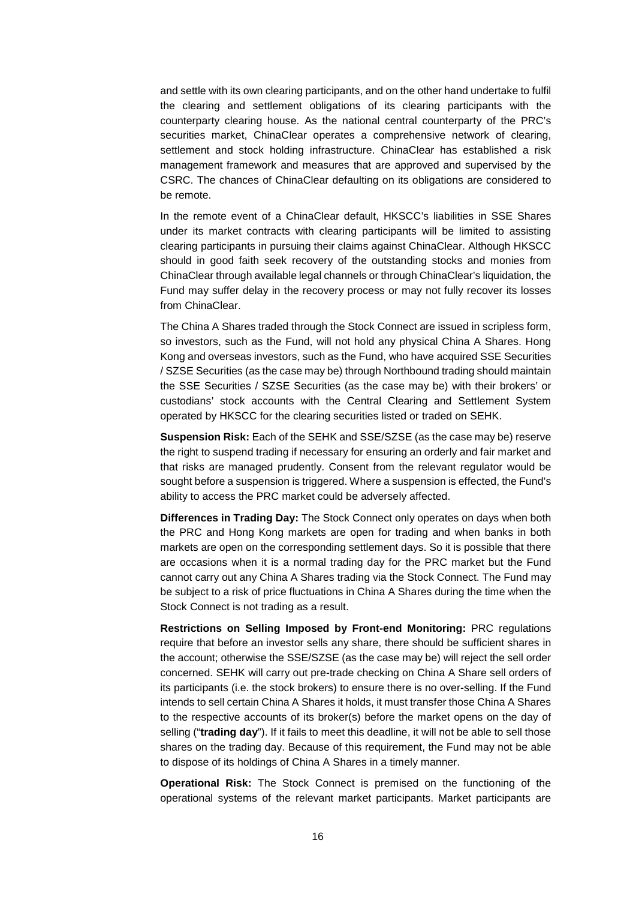and settle with its own clearing participants, and on the other hand undertake to fulfil the clearing and settlement obligations of its clearing participants with the counterparty clearing house. As the national central counterparty of the PRC's securities market, ChinaClear operates a comprehensive network of clearing, settlement and stock holding infrastructure. ChinaClear has established a risk management framework and measures that are approved and supervised by the CSRC. The chances of ChinaClear defaulting on its obligations are considered to be remote.

In the remote event of a ChinaClear default, HKSCC's liabilities in SSE Shares under its market contracts with clearing participants will be limited to assisting clearing participants in pursuing their claims against ChinaClear. Although HKSCC should in good faith seek recovery of the outstanding stocks and monies from ChinaClear through available legal channels or through ChinaClear's liquidation, the Fund may suffer delay in the recovery process or may not fully recover its losses from ChinaClear.

The China A Shares traded through the Stock Connect are issued in scripless form, so investors, such as the Fund, will not hold any physical China A Shares. Hong Kong and overseas investors, such as the Fund, who have acquired SSE Securities / SZSE Securities (as the case may be) through Northbound trading should maintain the SSE Securities / SZSE Securities (as the case may be) with their brokers' or custodians' stock accounts with the Central Clearing and Settlement System operated by HKSCC for the clearing securities listed or traded on SEHK.

**Suspension Risk:** Each of the SEHK and SSE/SZSE (as the case may be) reserve the right to suspend trading if necessary for ensuring an orderly and fair market and that risks are managed prudently. Consent from the relevant regulator would be sought before a suspension is triggered. Where a suspension is effected, the Fund's ability to access the PRC market could be adversely affected.

**Differences in Trading Day:** The Stock Connect only operates on days when both the PRC and Hong Kong markets are open for trading and when banks in both markets are open on the corresponding settlement days. So it is possible that there are occasions when it is a normal trading day for the PRC market but the Fund cannot carry out any China A Shares trading via the Stock Connect. The Fund may be subject to a risk of price fluctuations in China A Shares during the time when the Stock Connect is not trading as a result.

**Restrictions on Selling Imposed by Front-end Monitoring:** PRC regulations require that before an investor sells any share, there should be sufficient shares in the account; otherwise the SSE/SZSE (as the case may be) will reject the sell order concerned. SEHK will carry out pre-trade checking on China A Share sell orders of its participants (i.e. the stock brokers) to ensure there is no over-selling. If the Fund intends to sell certain China A Shares it holds, it must transfer those China A Shares to the respective accounts of its broker(s) before the market opens on the day of selling ("**trading day**"). If it fails to meet this deadline, it will not be able to sell those shares on the trading day. Because of this requirement, the Fund may not be able to dispose of its holdings of China A Shares in a timely manner.

**Operational Risk:** The Stock Connect is premised on the functioning of the operational systems of the relevant market participants. Market participants are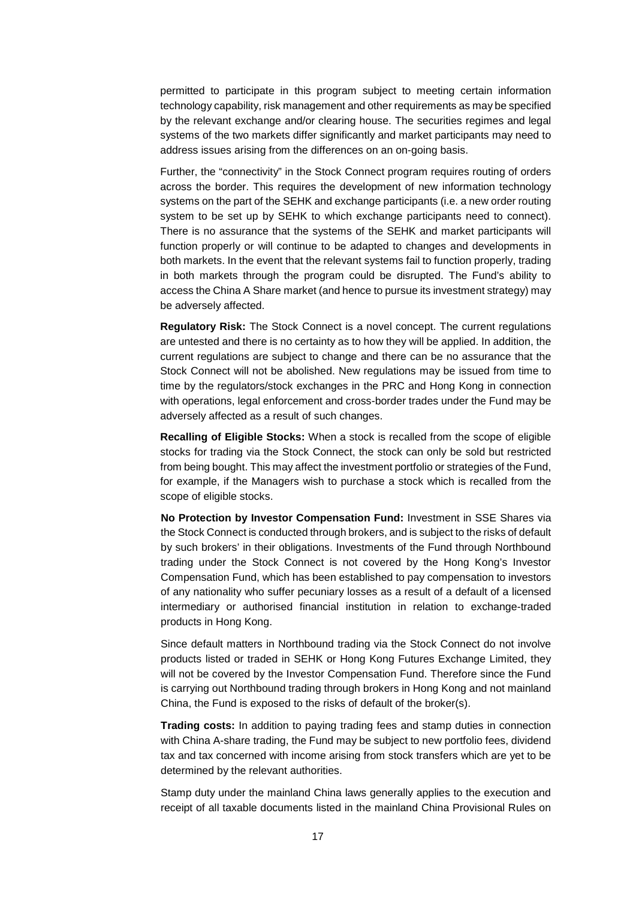permitted to participate in this program subject to meeting certain information technology capability, risk management and other requirements as may be specified by the relevant exchange and/or clearing house. The securities regimes and legal systems of the two markets differ significantly and market participants may need to address issues arising from the differences on an on-going basis.

Further, the "connectivity" in the Stock Connect program requires routing of orders across the border. This requires the development of new information technology systems on the part of the SEHK and exchange participants (i.e. a new order routing system to be set up by SEHK to which exchange participants need to connect). There is no assurance that the systems of the SEHK and market participants will function properly or will continue to be adapted to changes and developments in both markets. In the event that the relevant systems fail to function properly, trading in both markets through the program could be disrupted. The Fund's ability to access the China A Share market (and hence to pursue its investment strategy) may be adversely affected.

**Regulatory Risk:** The Stock Connect is a novel concept. The current regulations are untested and there is no certainty as to how they will be applied. In addition, the current regulations are subject to change and there can be no assurance that the Stock Connect will not be abolished. New regulations may be issued from time to time by the regulators/stock exchanges in the PRC and Hong Kong in connection with operations, legal enforcement and cross-border trades under the Fund may be adversely affected as a result of such changes.

**Recalling of Eligible Stocks:** When a stock is recalled from the scope of eligible stocks for trading via the Stock Connect, the stock can only be sold but restricted from being bought. This may affect the investment portfolio or strategies of the Fund, for example, if the Managers wish to purchase a stock which is recalled from the scope of eligible stocks.

**No Protection by Investor Compensation Fund:** Investment in SSE Shares via the Stock Connect is conducted through brokers, and is subject to the risks of default by such brokers' in their obligations. Investments of the Fund through Northbound trading under the Stock Connect is not covered by the Hong Kong's Investor Compensation Fund, which has been established to pay compensation to investors of any nationality who suffer pecuniary losses as a result of a default of a licensed intermediary or authorised financial institution in relation to exchange-traded products in Hong Kong.

Since default matters in Northbound trading via the Stock Connect do not involve products listed or traded in SEHK or Hong Kong Futures Exchange Limited, they will not be covered by the Investor Compensation Fund. Therefore since the Fund is carrying out Northbound trading through brokers in Hong Kong and not mainland China, the Fund is exposed to the risks of default of the broker(s).

**Trading costs:** In addition to paying trading fees and stamp duties in connection with China A-share trading, the Fund may be subject to new portfolio fees, dividend tax and tax concerned with income arising from stock transfers which are yet to be determined by the relevant authorities.

Stamp duty under the mainland China laws generally applies to the execution and receipt of all taxable documents listed in the mainland China Provisional Rules on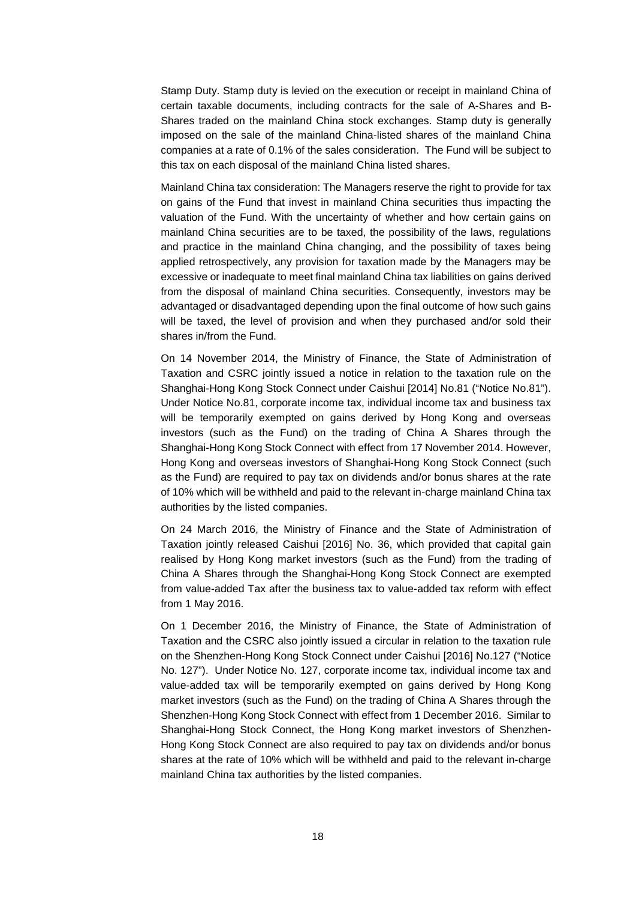Stamp Duty. Stamp duty is levied on the execution or receipt in mainland China of certain taxable documents, including contracts for the sale of A-Shares and B-Shares traded on the mainland China stock exchanges. Stamp duty is generally imposed on the sale of the mainland China-listed shares of the mainland China companies at a rate of 0.1% of the sales consideration. The Fund will be subject to this tax on each disposal of the mainland China listed shares.

Mainland China tax consideration: The Managers reserve the right to provide for tax on gains of the Fund that invest in mainland China securities thus impacting the valuation of the Fund. With the uncertainty of whether and how certain gains on mainland China securities are to be taxed, the possibility of the laws, regulations and practice in the mainland China changing, and the possibility of taxes being applied retrospectively, any provision for taxation made by the Managers may be excessive or inadequate to meet final mainland China tax liabilities on gains derived from the disposal of mainland China securities. Consequently, investors may be advantaged or disadvantaged depending upon the final outcome of how such gains will be taxed, the level of provision and when they purchased and/or sold their shares in/from the Fund.

On 14 November 2014, the Ministry of Finance, the State of Administration of Taxation and CSRC jointly issued a notice in relation to the taxation rule on the Shanghai-Hong Kong Stock Connect under Caishui [2014] No.81 ("Notice No.81"). Under Notice No.81, corporate income tax, individual income tax and business tax will be temporarily exempted on gains derived by Hong Kong and overseas investors (such as the Fund) on the trading of China A Shares through the Shanghai-Hong Kong Stock Connect with effect from 17 November 2014. However, Hong Kong and overseas investors of Shanghai-Hong Kong Stock Connect (such as the Fund) are required to pay tax on dividends and/or bonus shares at the rate of 10% which will be withheld and paid to the relevant in-charge mainland China tax authorities by the listed companies.

On 24 March 2016, the Ministry of Finance and the State of Administration of Taxation jointly released Caishui [2016] No. 36, which provided that capital gain realised by Hong Kong market investors (such as the Fund) from the trading of China A Shares through the Shanghai-Hong Kong Stock Connect are exempted from value-added Tax after the business tax to value-added tax reform with effect from 1 May 2016.

On 1 December 2016, the Ministry of Finance, the State of Administration of Taxation and the CSRC also jointly issued a circular in relation to the taxation rule on the Shenzhen-Hong Kong Stock Connect under Caishui [2016] No.127 ("Notice No. 127"). Under Notice No. 127, corporate income tax, individual income tax and value-added tax will be temporarily exempted on gains derived by Hong Kong market investors (such as the Fund) on the trading of China A Shares through the Shenzhen-Hong Kong Stock Connect with effect from 1 December 2016. Similar to Shanghai-Hong Stock Connect, the Hong Kong market investors of Shenzhen-Hong Kong Stock Connect are also required to pay tax on dividends and/or bonus shares at the rate of 10% which will be withheld and paid to the relevant in-charge mainland China tax authorities by the listed companies.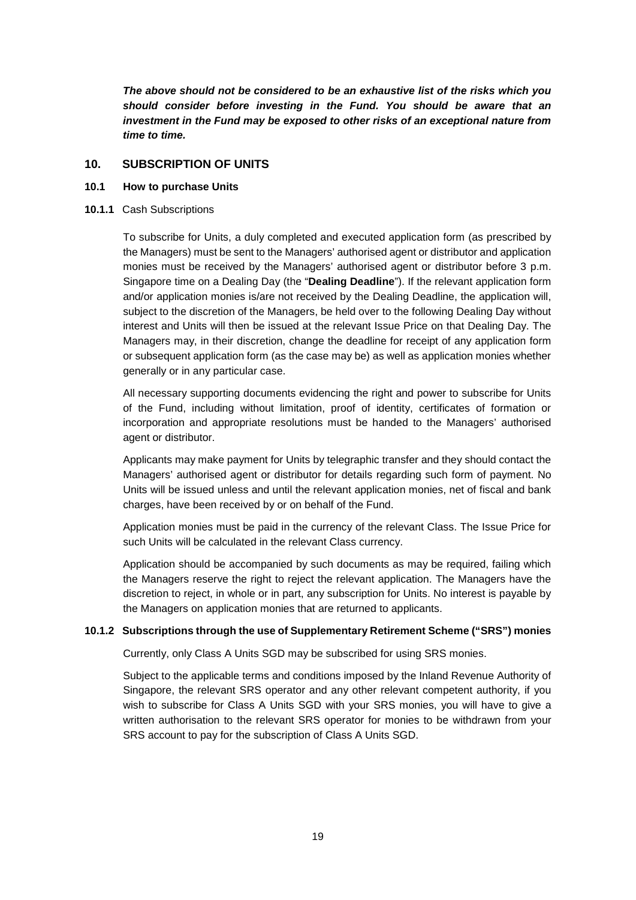*The above should not be considered to be an exhaustive list of the risks which you should consider before investing in the Fund. You should be aware that an investment in the Fund may be exposed to other risks of an exceptional nature from time to time.*

# <span id="page-25-0"></span>**10. SUBSCRIPTION OF UNITS**

### **10.1 How to purchase Units**

**10.1.1** Cash Subscriptions

To subscribe for Units, a duly completed and executed application form (as prescribed by the Managers) must be sent to the Managers' authorised agent or distributor and application monies must be received by the Managers' authorised agent or distributor before 3 p.m. Singapore time on a Dealing Day (the "**Dealing Deadline**"). If the relevant application form and/or application monies is/are not received by the Dealing Deadline, the application will, subject to the discretion of the Managers, be held over to the following Dealing Day without interest and Units will then be issued at the relevant Issue Price on that Dealing Day. The Managers may, in their discretion, change the deadline for receipt of any application form or subsequent application form (as the case may be) as well as application monies whether generally or in any particular case.

All necessary supporting documents evidencing the right and power to subscribe for Units of the Fund, including without limitation, proof of identity, certificates of formation or incorporation and appropriate resolutions must be handed to the Managers' authorised agent or distributor.

Applicants may make payment for Units by telegraphic transfer and they should contact the Managers' authorised agent or distributor for details regarding such form of payment. No Units will be issued unless and until the relevant application monies, net of fiscal and bank charges, have been received by or on behalf of the Fund.

Application monies must be paid in the currency of the relevant Class. The Issue Price for such Units will be calculated in the relevant Class currency.

Application should be accompanied by such documents as may be required, failing which the Managers reserve the right to reject the relevant application. The Managers have the discretion to reject, in whole or in part, any subscription for Units. No interest is payable by the Managers on application monies that are returned to applicants.

### **10.1.2 Subscriptions through the use of Supplementary Retirement Scheme ("SRS") monies**

Currently, only Class A Units SGD may be subscribed for using SRS monies.

Subject to the applicable terms and conditions imposed by the Inland Revenue Authority of Singapore, the relevant SRS operator and any other relevant competent authority, if you wish to subscribe for Class A Units SGD with your SRS monies, you will have to give a written authorisation to the relevant SRS operator for monies to be withdrawn from your SRS account to pay for the subscription of Class A Units SGD.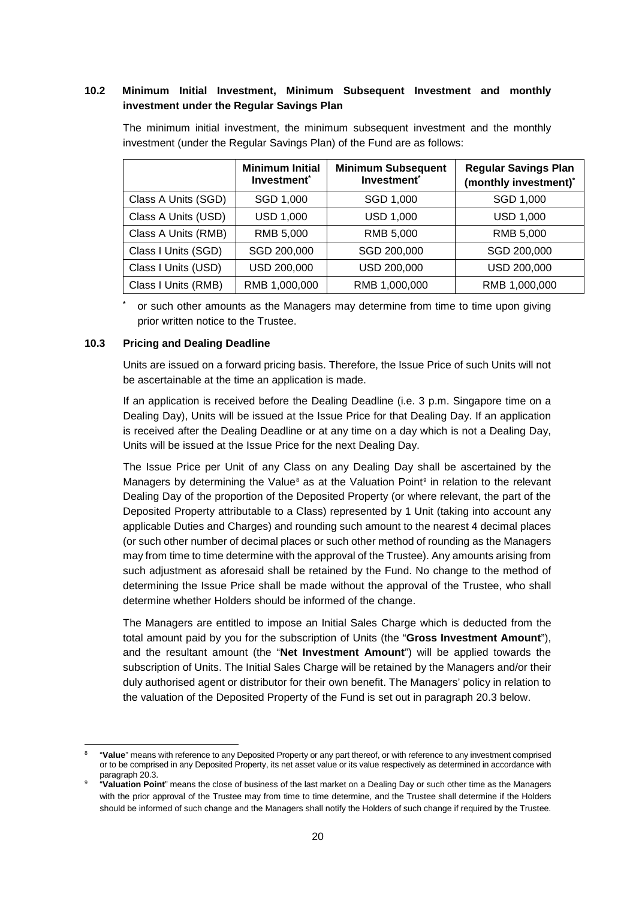# **10.2 Minimum Initial Investment, Minimum Subsequent Investment and monthly investment under the Regular Savings Plan**

| <b>Minimum Initial</b><br>Investment <sup>*</sup> |                  | <b>Minimum Subsequent</b><br>Investment <sup>*</sup> | <b>Regular Savings Plan</b><br>(monthly investment)* |  |  |
|---------------------------------------------------|------------------|------------------------------------------------------|------------------------------------------------------|--|--|
| Class A Units (SGD)                               | SGD 1,000        | SGD 1,000                                            | SGD 1,000                                            |  |  |
| Class A Units (USD)                               | <b>USD 1,000</b> | <b>USD 1,000</b>                                     | <b>USD 1,000</b>                                     |  |  |
| Class A Units (RMB)                               | RMB 5,000        | RMB 5,000                                            | RMB 5,000                                            |  |  |
| Class I Units (SGD)                               | SGD 200,000      | SGD 200,000                                          | SGD 200,000                                          |  |  |
| Class I Units (USD)                               | USD 200,000      | USD 200,000                                          | USD 200,000                                          |  |  |
| Class I Units (RMB)                               | RMB 1,000,000    | RMB 1,000,000                                        | RMB 1,000,000                                        |  |  |

The minimum initial investment, the minimum subsequent investment and the monthly investment (under the Regular Savings Plan) of the Fund are as follows:

**\*** or such other amounts as the Managers may determine from time to time upon giving prior written notice to the Trustee.

#### **10.3 Pricing and Dealing Deadline**

 $\overline{a}$ 

Units are issued on a forward pricing basis. Therefore, the Issue Price of such Units will not be ascertainable at the time an application is made.

If an application is received before the Dealing Deadline (i.e. 3 p.m. Singapore time on a Dealing Day), Units will be issued at the Issue Price for that Dealing Day. If an application is received after the Dealing Deadline or at any time on a day which is not a Dealing Day, Units will be issued at the Issue Price for the next Dealing Day.

The Issue Price per Unit of any Class on any Dealing Day shall be ascertained by the Managers by determining the Value<sup>®</sup> as at the Valuation Point<sup>®</sup> in relation to the relevant Dealing Day of the proportion of the Deposited Property (or where relevant, the part of the Deposited Property attributable to a Class) represented by 1 Unit (taking into account any applicable Duties and Charges) and rounding such amount to the nearest 4 decimal places (or such other number of decimal places or such other method of rounding as the Managers may from time to time determine with the approval of the Trustee). Any amounts arising from such adjustment as aforesaid shall be retained by the Fund. No change to the method of determining the Issue Price shall be made without the approval of the Trustee, who shall determine whether Holders should be informed of the change.

The Managers are entitled to impose an Initial Sales Charge which is deducted from the total amount paid by you for the subscription of Units (the "**Gross Investment Amount**"), and the resultant amount (the "**Net Investment Amount**") will be applied towards the subscription of Units. The Initial Sales Charge will be retained by the Managers and/or their duly authorised agent or distributor for their own benefit. The Managers' policy in relation to the valuation of the Deposited Property of the Fund is set out in paragraph 20.3 below.

<span id="page-26-0"></span><sup>8</sup> "**Value**" means with reference to any Deposited Property or any part thereof, or with reference to any investment comprised or to be comprised in any Deposited Property, its net asset value or its value respectively as determined in accordance with paragraph 20.3.<br>"**Valuation Point**" means the close of business of the last market on a Dealing Day or such other time as the Managers

<span id="page-26-1"></span>with the prior approval of the Trustee may from time to time determine, and the Trustee shall determine if the Holders should be informed of such change and the Managers shall notify the Holders of such change if required by the Trustee.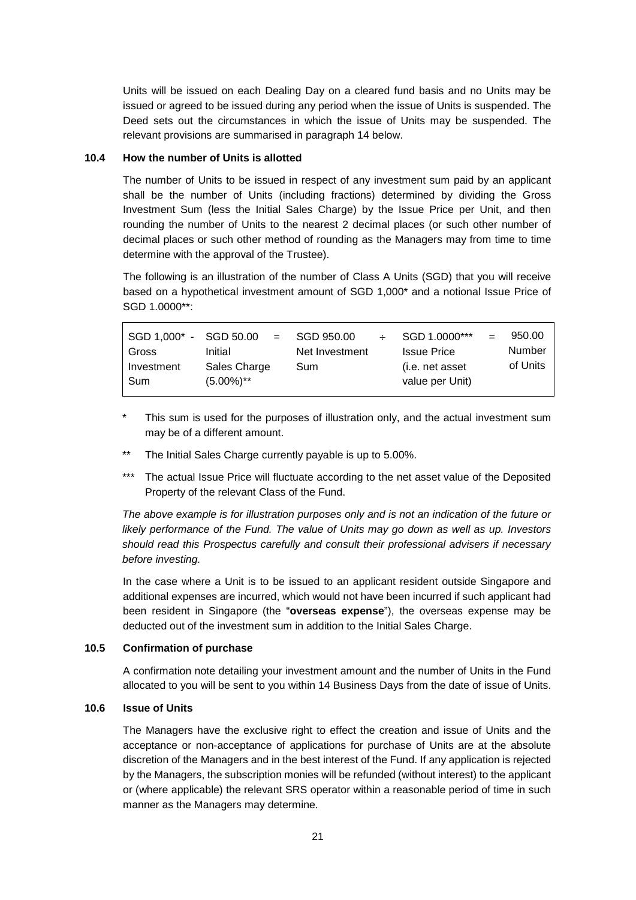Units will be issued on each Dealing Day on a cleared fund basis and no Units may be issued or agreed to be issued during any period when the issue of Units is suspended. The Deed sets out the circumstances in which the issue of Units may be suspended. The relevant provisions are summarised in paragraph 14 below.

#### **10.4 How the number of Units is allotted**

The number of Units to be issued in respect of any investment sum paid by an applicant shall be the number of Units (including fractions) determined by dividing the Gross Investment Sum (less the Initial Sales Charge) by the Issue Price per Unit, and then rounding the number of Units to the nearest 2 decimal places (or such other number of decimal places or such other method of rounding as the Managers may from time to time determine with the approval of the Trustee).

The following is an illustration of the number of Class A Units (SGD) that you will receive based on a hypothetical investment amount of SGD 1,000\* and a notional Issue Price of SGD 1.0000\*\*:

| SGD 1.000* - SGD 50.00<br>Gross | $\mathbf{v} = \mathbf{v}$<br>Initial | SGD 950.00<br>Net Investment | $\div$ | SGD 1.0000***<br><b>Issue Price</b> | 950.00<br>Number |
|---------------------------------|--------------------------------------|------------------------------|--------|-------------------------------------|------------------|
| Investment<br>Sum               | Sales Charge<br>$(5.00\%)$ **        | Sum                          |        | (i.e. net asset<br>value per Unit)  | of Units         |

- This sum is used for the purposes of illustration only, and the actual investment sum may be of a different amount.
- The Initial Sales Charge currently payable is up to 5.00%.
- \*\*\* The actual Issue Price will fluctuate according to the net asset value of the Deposited Property of the relevant Class of the Fund.

*The above example is for illustration purposes only and is not an indication of the future or likely performance of the Fund. The value of Units may go down as well as up. Investors should read this Prospectus carefully and consult their professional advisers if necessary before investing.*

In the case where a Unit is to be issued to an applicant resident outside Singapore and additional expenses are incurred, which would not have been incurred if such applicant had been resident in Singapore (the "**overseas expense**"), the overseas expense may be deducted out of the investment sum in addition to the Initial Sales Charge.

### **10.5 Confirmation of purchase**

A confirmation note detailing your investment amount and the number of Units in the Fund allocated to you will be sent to you within 14 Business Days from the date of issue of Units.

#### **10.6 Issue of Units**

The Managers have the exclusive right to effect the creation and issue of Units and the acceptance or non-acceptance of applications for purchase of Units are at the absolute discretion of the Managers and in the best interest of the Fund. If any application is rejected by the Managers, the subscription monies will be refunded (without interest) to the applicant or (where applicable) the relevant SRS operator within a reasonable period of time in such manner as the Managers may determine.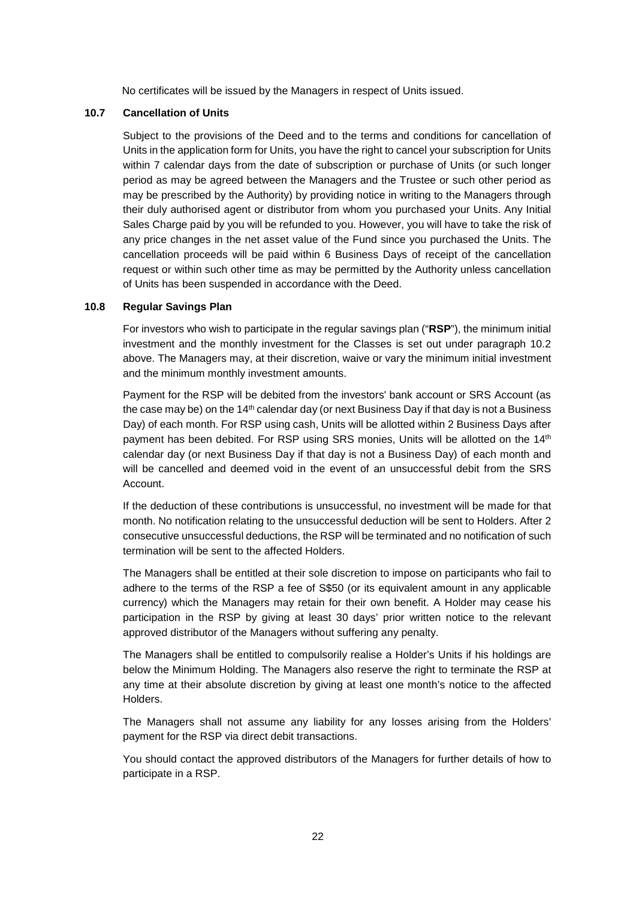No certificates will be issued by the Managers in respect of Units issued.

### **10.7 Cancellation of Units**

Subject to the provisions of the Deed and to the terms and conditions for cancellation of Units in the application form for Units, you have the right to cancel your subscription for Units within 7 calendar days from the date of subscription or purchase of Units (or such longer period as may be agreed between the Managers and the Trustee or such other period as may be prescribed by the Authority) by providing notice in writing to the Managers through their duly authorised agent or distributor from whom you purchased your Units. Any Initial Sales Charge paid by you will be refunded to you. However, you will have to take the risk of any price changes in the net asset value of the Fund since you purchased the Units. The cancellation proceeds will be paid within 6 Business Days of receipt of the cancellation request or within such other time as may be permitted by the Authority unless cancellation of Units has been suspended in accordance with the Deed.

### **10.8 Regular Savings Plan**

For investors who wish to participate in the regular savings plan ("**RSP**"), the minimum initial investment and the monthly investment for the Classes is set out under paragraph 10.2 above. The Managers may, at their discretion, waive or vary the minimum initial investment and the minimum monthly investment amounts.

Payment for the RSP will be debited from the investors' bank account or SRS Account (as the case may be) on the 14th calendar day (or next Business Day if that day is not a Business Day) of each month. For RSP using cash, Units will be allotted within 2 Business Days after payment has been debited. For RSP using SRS monies, Units will be allotted on the 14<sup>th</sup> calendar day (or next Business Day if that day is not a Business Day) of each month and will be cancelled and deemed void in the event of an unsuccessful debit from the SRS Account.

If the deduction of these contributions is unsuccessful, no investment will be made for that month. No notification relating to the unsuccessful deduction will be sent to Holders. After 2 consecutive unsuccessful deductions, the RSP will be terminated and no notification of such termination will be sent to the affected Holders.

The Managers shall be entitled at their sole discretion to impose on participants who fail to adhere to the terms of the RSP a fee of S\$50 (or its equivalent amount in any applicable currency) which the Managers may retain for their own benefit. A Holder may cease his participation in the RSP by giving at least 30 days' prior written notice to the relevant approved distributor of the Managers without suffering any penalty.

The Managers shall be entitled to compulsorily realise a Holder's Units if his holdings are below the Minimum Holding. The Managers also reserve the right to terminate the RSP at any time at their absolute discretion by giving at least one month's notice to the affected Holders.

The Managers shall not assume any liability for any losses arising from the Holders' payment for the RSP via direct debit transactions.

You should contact the approved distributors of the Managers for further details of how to participate in a RSP.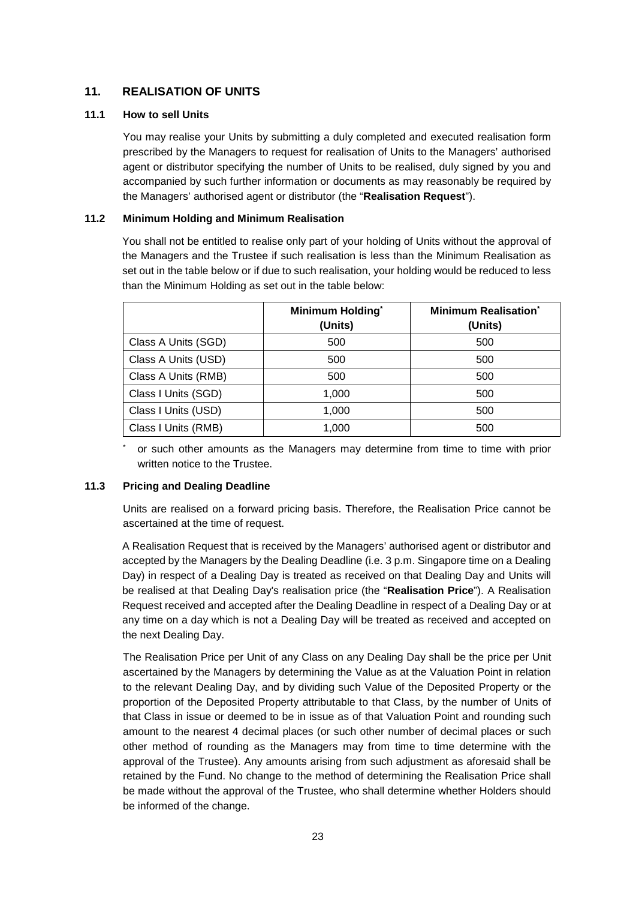# <span id="page-29-0"></span>**11. REALISATION OF UNITS**

# **11.1 How to sell Units**

You may realise your Units by submitting a duly completed and executed realisation form prescribed by the Managers to request for realisation of Units to the Managers' authorised agent or distributor specifying the number of Units to be realised, duly signed by you and accompanied by such further information or documents as may reasonably be required by the Managers' authorised agent or distributor (the "**Realisation Request**").

# **11.2 Minimum Holding and Minimum Realisation**

You shall not be entitled to realise only part of your holding of Units without the approval of the Managers and the Trustee if such realisation is less than the Minimum Realisation as set out in the table below or if due to such realisation, your holding would be reduced to less than the Minimum Holding as set out in the table below:

|                     | Minimum Holding*<br>(Units) | <b>Minimum Realisation</b> *<br>(Units) |
|---------------------|-----------------------------|-----------------------------------------|
| Class A Units (SGD) | 500                         | 500                                     |
| Class A Units (USD) | 500                         | 500                                     |
| Class A Units (RMB) | 500                         | 500                                     |
| Class I Units (SGD) | 1.000                       | 500                                     |
| Class I Units (USD) | 1,000                       | 500                                     |
| Class I Units (RMB) | 1,000                       | 500                                     |

or such other amounts as the Managers may determine from time to time with prior written notice to the Trustee.

# **11.3 Pricing and Dealing Deadline**

Units are realised on a forward pricing basis. Therefore, the Realisation Price cannot be ascertained at the time of request.

A Realisation Request that is received by the Managers' authorised agent or distributor and accepted by the Managers by the Dealing Deadline (i.e. 3 p.m. Singapore time on a Dealing Day) in respect of a Dealing Day is treated as received on that Dealing Day and Units will be realised at that Dealing Day's realisation price (the "**Realisation Price**"). A Realisation Request received and accepted after the Dealing Deadline in respect of a Dealing Day or at any time on a day which is not a Dealing Day will be treated as received and accepted on the next Dealing Day.

The Realisation Price per Unit of any Class on any Dealing Day shall be the price per Unit ascertained by the Managers by determining the Value as at the Valuation Point in relation to the relevant Dealing Day, and by dividing such Value of the Deposited Property or the proportion of the Deposited Property attributable to that Class, by the number of Units of that Class in issue or deemed to be in issue as of that Valuation Point and rounding such amount to the nearest 4 decimal places (or such other number of decimal places or such other method of rounding as the Managers may from time to time determine with the approval of the Trustee). Any amounts arising from such adjustment as aforesaid shall be retained by the Fund. No change to the method of determining the Realisation Price shall be made without the approval of the Trustee, who shall determine whether Holders should be informed of the change.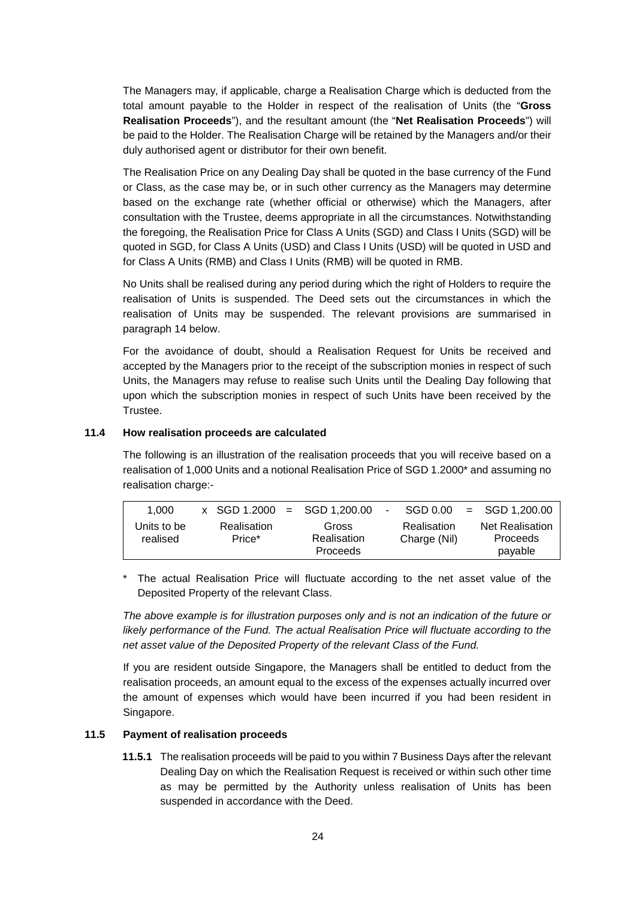The Managers may, if applicable, charge a Realisation Charge which is deducted from the total amount payable to the Holder in respect of the realisation of Units (the "**Gross Realisation Proceeds**"), and the resultant amount (the "**Net Realisation Proceeds**") will be paid to the Holder. The Realisation Charge will be retained by the Managers and/or their duly authorised agent or distributor for their own benefit.

The Realisation Price on any Dealing Day shall be quoted in the base currency of the Fund or Class, as the case may be, or in such other currency as the Managers may determine based on the exchange rate (whether official or otherwise) which the Managers, after consultation with the Trustee, deems appropriate in all the circumstances. Notwithstanding the foregoing, the Realisation Price for Class A Units (SGD) and Class I Units (SGD) will be quoted in SGD, for Class A Units (USD) and Class I Units (USD) will be quoted in USD and for Class A Units (RMB) and Class I Units (RMB) will be quoted in RMB.

No Units shall be realised during any period during which the right of Holders to require the realisation of Units is suspended. The Deed sets out the circumstances in which the realisation of Units may be suspended. The relevant provisions are summarised in paragraph 14 below.

For the avoidance of doubt, should a Realisation Request for Units be received and accepted by the Managers prior to the receipt of the subscription monies in respect of such Units, the Managers may refuse to realise such Units until the Dealing Day following that upon which the subscription monies in respect of such Units have been received by the Trustee.

#### **11.4 How realisation proceeds are calculated**

The following is an illustration of the realisation proceeds that you will receive based on a realisation of 1,000 Units and a notional Realisation Price of SGD 1.2000\* and assuming no realisation charge:-

| 1.000                   | $\text{X}$ SGD 1.2000 = SGD 1.200.00 |                                  | $\blacksquare$ | SGD 0.00                    | $=$ SGD 1,200.00                              |
|-------------------------|--------------------------------------|----------------------------------|----------------|-----------------------------|-----------------------------------------------|
| Units to be<br>realised | Realisation<br>Price*                | Gross<br>Realisation<br>Proceeds |                | Realisation<br>Charge (Nil) | <b>Net Realisation</b><br>Proceeds<br>payable |

The actual Realisation Price will fluctuate according to the net asset value of the Deposited Property of the relevant Class.

*The above example is for illustration purposes only and is not an indication of the future or likely performance of the Fund. The actual Realisation Price will fluctuate according to the net asset value of the Deposited Property of the relevant Class of the Fund.*

If you are resident outside Singapore, the Managers shall be entitled to deduct from the realisation proceeds, an amount equal to the excess of the expenses actually incurred over the amount of expenses which would have been incurred if you had been resident in Singapore.

### **11.5 Payment of realisation proceeds**

**11.5.1** The realisation proceeds will be paid to you within 7 Business Days after the relevant Dealing Day on which the Realisation Request is received or within such other time as may be permitted by the Authority unless realisation of Units has been suspended in accordance with the Deed.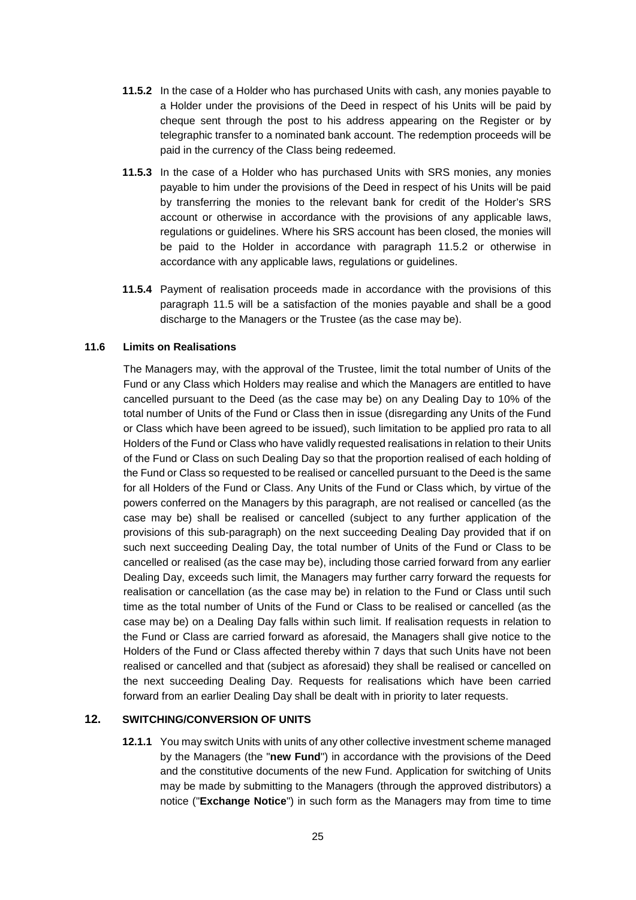- **11.5.2** In the case of a Holder who has purchased Units with cash, any monies payable to a Holder under the provisions of the Deed in respect of his Units will be paid by cheque sent through the post to his address appearing on the Register or by telegraphic transfer to a nominated bank account. The redemption proceeds will be paid in the currency of the Class being redeemed.
- **11.5.3** In the case of a Holder who has purchased Units with SRS monies, any monies payable to him under the provisions of the Deed in respect of his Units will be paid by transferring the monies to the relevant bank for credit of the Holder's SRS account or otherwise in accordance with the provisions of any applicable laws, regulations or guidelines. Where his SRS account has been closed, the monies will be paid to the Holder in accordance with paragraph 11.5.2 or otherwise in accordance with any applicable laws, regulations or guidelines.
- **11.5.4** Payment of realisation proceeds made in accordance with the provisions of this paragraph 11.5 will be a satisfaction of the monies payable and shall be a good discharge to the Managers or the Trustee (as the case may be).

# **11.6 Limits on Realisations**

The Managers may, with the approval of the Trustee, limit the total number of Units of the Fund or any Class which Holders may realise and which the Managers are entitled to have cancelled pursuant to the Deed (as the case may be) on any Dealing Day to 10% of the total number of Units of the Fund or Class then in issue (disregarding any Units of the Fund or Class which have been agreed to be issued), such limitation to be applied pro rata to all Holders of the Fund or Class who have validly requested realisations in relation to their Units of the Fund or Class on such Dealing Day so that the proportion realised of each holding of the Fund or Class so requested to be realised or cancelled pursuant to the Deed is the same for all Holders of the Fund or Class. Any Units of the Fund or Class which, by virtue of the powers conferred on the Managers by this paragraph, are not realised or cancelled (as the case may be) shall be realised or cancelled (subject to any further application of the provisions of this sub-paragraph) on the next succeeding Dealing Day provided that if on such next succeeding Dealing Day, the total number of Units of the Fund or Class to be cancelled or realised (as the case may be), including those carried forward from any earlier Dealing Day, exceeds such limit, the Managers may further carry forward the requests for realisation or cancellation (as the case may be) in relation to the Fund or Class until such time as the total number of Units of the Fund or Class to be realised or cancelled (as the case may be) on a Dealing Day falls within such limit. If realisation requests in relation to the Fund or Class are carried forward as aforesaid, the Managers shall give notice to the Holders of the Fund or Class affected thereby within 7 days that such Units have not been realised or cancelled and that (subject as aforesaid) they shall be realised or cancelled on the next succeeding Dealing Day. Requests for realisations which have been carried forward from an earlier Dealing Day shall be dealt with in priority to later requests.

# <span id="page-31-0"></span>**12. SWITCHING/CONVERSION OF UNITS**

**12.1.1** You may switch Units with units of any other collective investment scheme managed by the Managers (the "**new Fund**") in accordance with the provisions of the Deed and the constitutive documents of the new Fund. Application for switching of Units may be made by submitting to the Managers (through the approved distributors) a notice ("**Exchange Notice**") in such form as the Managers may from time to time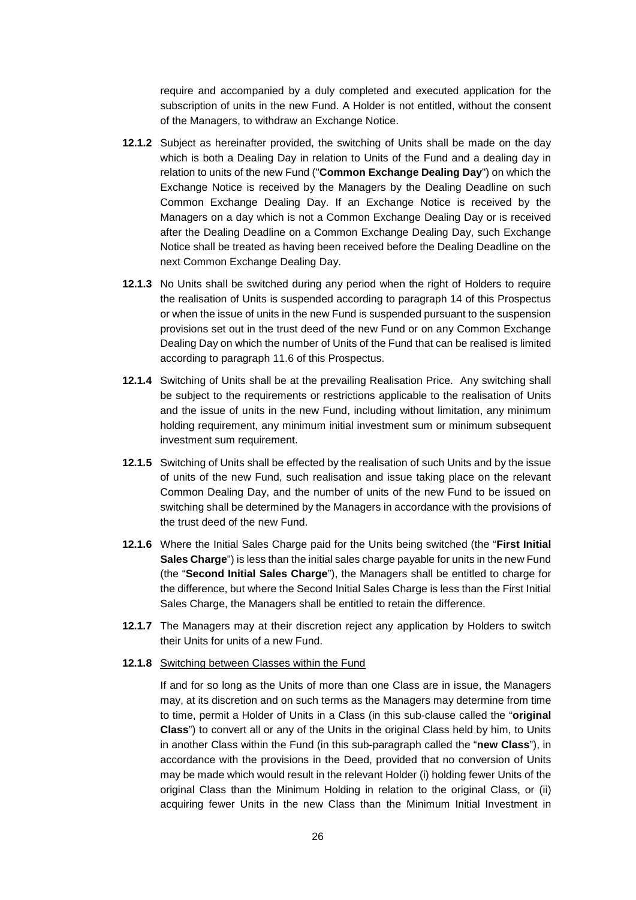require and accompanied by a duly completed and executed application for the subscription of units in the new Fund. A Holder is not entitled, without the consent of the Managers, to withdraw an Exchange Notice.

- **12.1.2** Subject as hereinafter provided, the switching of Units shall be made on the day which is both a Dealing Day in relation to Units of the Fund and a dealing day in relation to units of the new Fund ("**Common Exchange Dealing Day**") on which the Exchange Notice is received by the Managers by the Dealing Deadline on such Common Exchange Dealing Day. If an Exchange Notice is received by the Managers on a day which is not a Common Exchange Dealing Day or is received after the Dealing Deadline on a Common Exchange Dealing Day, such Exchange Notice shall be treated as having been received before the Dealing Deadline on the next Common Exchange Dealing Day.
- **12.1.3** No Units shall be switched during any period when the right of Holders to require the realisation of Units is suspended according to paragraph 14 of this Prospectus or when the issue of units in the new Fund is suspended pursuant to the suspension provisions set out in the trust deed of the new Fund or on any Common Exchange Dealing Day on which the number of Units of the Fund that can be realised is limited according to paragraph 11.6 of this Prospectus.
- **12.1.4** Switching of Units shall be at the prevailing Realisation Price. Any switching shall be subject to the requirements or restrictions applicable to the realisation of Units and the issue of units in the new Fund, including without limitation, any minimum holding requirement, any minimum initial investment sum or minimum subsequent investment sum requirement.
- **12.1.5** Switching of Units shall be effected by the realisation of such Units and by the issue of units of the new Fund, such realisation and issue taking place on the relevant Common Dealing Day, and the number of units of the new Fund to be issued on switching shall be determined by the Managers in accordance with the provisions of the trust deed of the new Fund.
- **12.1.6** Where the Initial Sales Charge paid for the Units being switched (the "**First Initial Sales Charge**") is less than the initial sales charge payable for units in the new Fund (the "**Second Initial Sales Charge**"), the Managers shall be entitled to charge for the difference, but where the Second Initial Sales Charge is less than the First Initial Sales Charge, the Managers shall be entitled to retain the difference.
- **12.1.7** The Managers may at their discretion reject any application by Holders to switch their Units for units of a new Fund.

### **12.1.8** Switching between Classes within the Fund

If and for so long as the Units of more than one Class are in issue, the Managers may, at its discretion and on such terms as the Managers may determine from time to time, permit a Holder of Units in a Class (in this sub-clause called the "**original Class**") to convert all or any of the Units in the original Class held by him, to Units in another Class within the Fund (in this sub-paragraph called the "**new Class**"), in accordance with the provisions in the Deed, provided that no conversion of Units may be made which would result in the relevant Holder (i) holding fewer Units of the original Class than the Minimum Holding in relation to the original Class, or (ii) acquiring fewer Units in the new Class than the Minimum Initial Investment in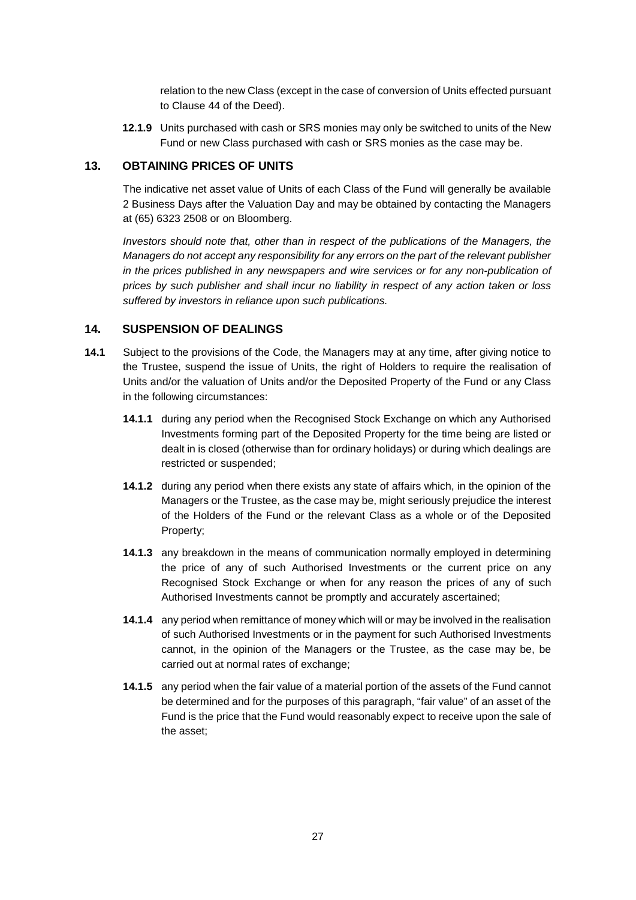relation to the new Class (except in the case of conversion of Units effected pursuant to Clause 44 of the Deed).

**12.1.9** Units purchased with cash or SRS monies may only be switched to units of the New Fund or new Class purchased with cash or SRS monies as the case may be.

### <span id="page-33-0"></span>**13. OBTAINING PRICES OF UNITS**

The indicative net asset value of Units of each Class of the Fund will generally be available 2 Business Days after the Valuation Day and may be obtained by contacting the Managers at (65) 6323 2508 or on Bloomberg.

*Investors should note that, other than in respect of the publications of the Managers, the Managers do not accept any responsibility for any errors on the part of the relevant publisher in the prices published in any newspapers and wire services or for any non-publication of prices by such publisher and shall incur no liability in respect of any action taken or loss suffered by investors in reliance upon such publications.*

# <span id="page-33-1"></span>**14. SUSPENSION OF DEALINGS**

- **14.1** Subject to the provisions of the Code, the Managers may at any time, after giving notice to the Trustee, suspend the issue of Units, the right of Holders to require the realisation of Units and/or the valuation of Units and/or the Deposited Property of the Fund or any Class in the following circumstances:
	- **14.1.1** during any period when the Recognised Stock Exchange on which any Authorised Investments forming part of the Deposited Property for the time being are listed or dealt in is closed (otherwise than for ordinary holidays) or during which dealings are restricted or suspended;
	- **14.1.2** during any period when there exists any state of affairs which, in the opinion of the Managers or the Trustee, as the case may be, might seriously prejudice the interest of the Holders of the Fund or the relevant Class as a whole or of the Deposited Property;
	- **14.1.3** any breakdown in the means of communication normally employed in determining the price of any of such Authorised Investments or the current price on any Recognised Stock Exchange or when for any reason the prices of any of such Authorised Investments cannot be promptly and accurately ascertained;
	- **14.1.4** any period when remittance of money which will or may be involved in the realisation of such Authorised Investments or in the payment for such Authorised Investments cannot, in the opinion of the Managers or the Trustee, as the case may be, be carried out at normal rates of exchange;
	- **14.1.5** any period when the fair value of a material portion of the assets of the Fund cannot be determined and for the purposes of this paragraph, "fair value" of an asset of the Fund is the price that the Fund would reasonably expect to receive upon the sale of the asset;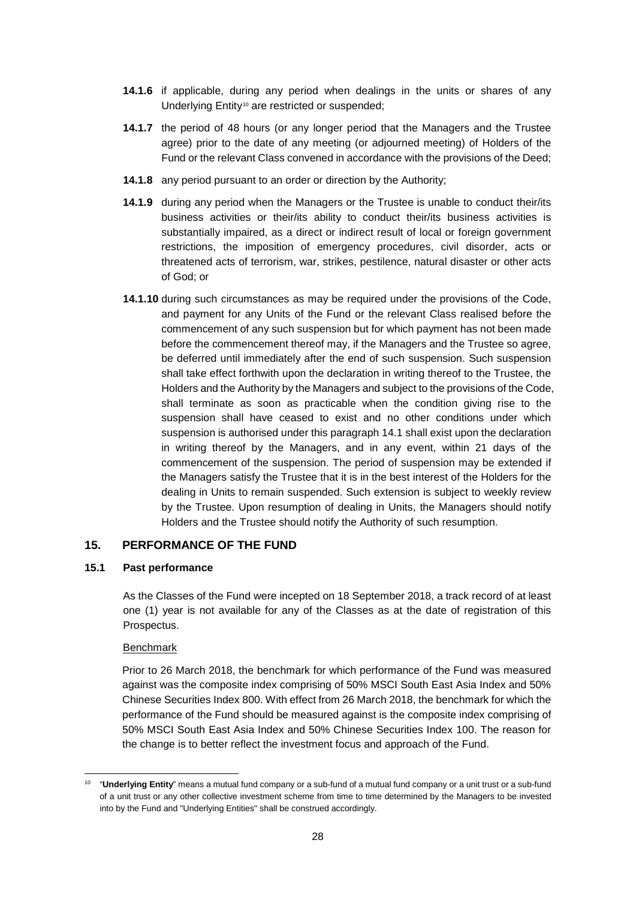- **14.1.6** if applicable, during any period when dealings in the units or shares of any Underlying Entity<sup>[10](#page-34-1)</sup> are restricted or suspended;
- **14.1.7** the period of 48 hours (or any longer period that the Managers and the Trustee agree) prior to the date of any meeting (or adjourned meeting) of Holders of the Fund or the relevant Class convened in accordance with the provisions of the Deed;
- **14.1.8** any period pursuant to an order or direction by the Authority;
- **14.1.9** during any period when the Managers or the Trustee is unable to conduct their/its business activities or their/its ability to conduct their/its business activities is substantially impaired, as a direct or indirect result of local or foreign government restrictions, the imposition of emergency procedures, civil disorder, acts or threatened acts of terrorism, war, strikes, pestilence, natural disaster or other acts of God; or
- **14.1.10** during such circumstances as may be required under the provisions of the Code, and payment for any Units of the Fund or the relevant Class realised before the commencement of any such suspension but for which payment has not been made before the commencement thereof may, if the Managers and the Trustee so agree, be deferred until immediately after the end of such suspension. Such suspension shall take effect forthwith upon the declaration in writing thereof to the Trustee, the Holders and the Authority by the Managers and subject to the provisions of the Code, shall terminate as soon as practicable when the condition giving rise to the suspension shall have ceased to exist and no other conditions under which suspension is authorised under this paragraph 14.1 shall exist upon the declaration in writing thereof by the Managers, and in any event, within 21 days of the commencement of the suspension. The period of suspension may be extended if the Managers satisfy the Trustee that it is in the best interest of the Holders for the dealing in Units to remain suspended. Such extension is subject to weekly review by the Trustee. Upon resumption of dealing in Units, the Managers should notify Holders and the Trustee should notify the Authority of such resumption.

# <span id="page-34-0"></span>**15. PERFORMANCE OF THE FUND**

# **15.1 Past performance**

As the Classes of the Fund were incepted on 18 September 2018, a track record of at least one (1) year is not available for any of the Classes as at the date of registration of this Prospectus.

# Benchmark

 $\overline{a}$ 

Prior to 26 March 2018, the benchmark for which performance of the Fund was measured against was the composite index comprising of 50% MSCI South East Asia Index and 50% Chinese Securities Index 800. With effect from 26 March 2018, the benchmark for which the performance of the Fund should be measured against is the composite index comprising of 50% MSCI South East Asia Index and 50% Chinese Securities Index 100. The reason for the change is to better reflect the investment focus and approach of the Fund.

<span id="page-34-1"></span><sup>10</sup> "**Underlying Entity**" means a mutual fund company or a sub-fund of a mutual fund company or a unit trust or a sub-fund of a unit trust or any other collective investment scheme from time to time determined by the Managers to be invested into by the Fund and "Underlying Entities" shall be construed accordingly.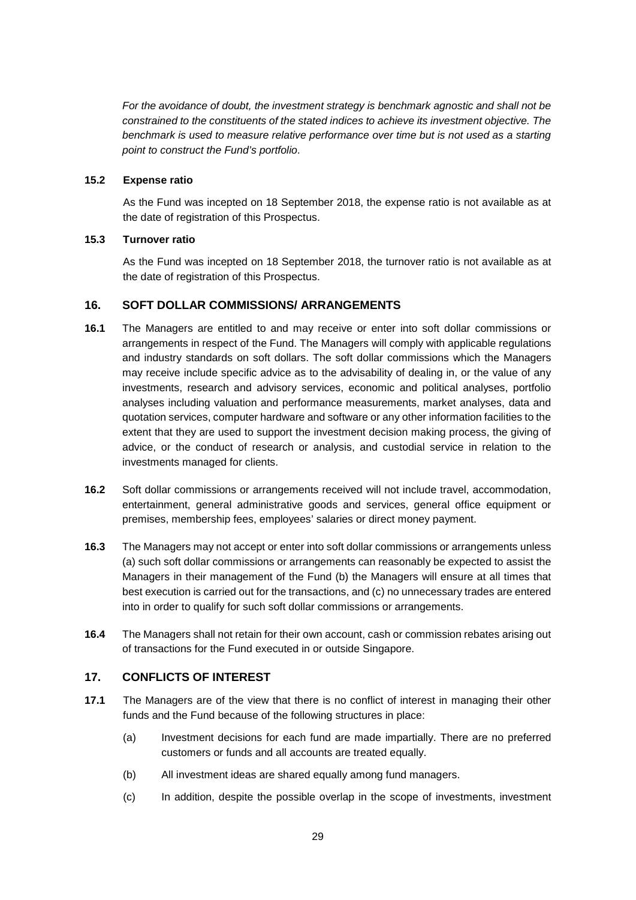*For the avoidance of doubt, the investment strategy is benchmark agnostic and shall not be constrained to the constituents of the stated indices to achieve its investment objective. The benchmark is used to measure relative performance over time but is not used as a starting point to construct the Fund's portfolio*.

# **15.2 Expense ratio**

As the Fund was incepted on 18 September 2018, the expense ratio is not available as at the date of registration of this Prospectus.

# **15.3 Turnover ratio**

As the Fund was incepted on 18 September 2018, the turnover ratio is not available as at the date of registration of this Prospectus.

# <span id="page-35-0"></span>**16. SOFT DOLLAR COMMISSIONS/ ARRANGEMENTS**

- **16.1** The Managers are entitled to and may receive or enter into soft dollar commissions or arrangements in respect of the Fund. The Managers will comply with applicable regulations and industry standards on soft dollars. The soft dollar commissions which the Managers may receive include specific advice as to the advisability of dealing in, or the value of any investments, research and advisory services, economic and political analyses, portfolio analyses including valuation and performance measurements, market analyses, data and quotation services, computer hardware and software or any other information facilities to the extent that they are used to support the investment decision making process, the giving of advice, or the conduct of research or analysis, and custodial service in relation to the investments managed for clients.
- **16.2** Soft dollar commissions or arrangements received will not include travel, accommodation, entertainment, general administrative goods and services, general office equipment or premises, membership fees, employees' salaries or direct money payment.
- **16.3** The Managers may not accept or enter into soft dollar commissions or arrangements unless (a) such soft dollar commissions or arrangements can reasonably be expected to assist the Managers in their management of the Fund (b) the Managers will ensure at all times that best execution is carried out for the transactions, and (c) no unnecessary trades are entered into in order to qualify for such soft dollar commissions or arrangements.
- **16.4** The Managers shall not retain for their own account, cash or commission rebates arising out of transactions for the Fund executed in or outside Singapore.

# <span id="page-35-1"></span>**17. CONFLICTS OF INTEREST**

- **17.1** The Managers are of the view that there is no conflict of interest in managing their other funds and the Fund because of the following structures in place:
	- (a) Investment decisions for each fund are made impartially. There are no preferred customers or funds and all accounts are treated equally.
	- (b) All investment ideas are shared equally among fund managers.
	- (c) In addition, despite the possible overlap in the scope of investments, investment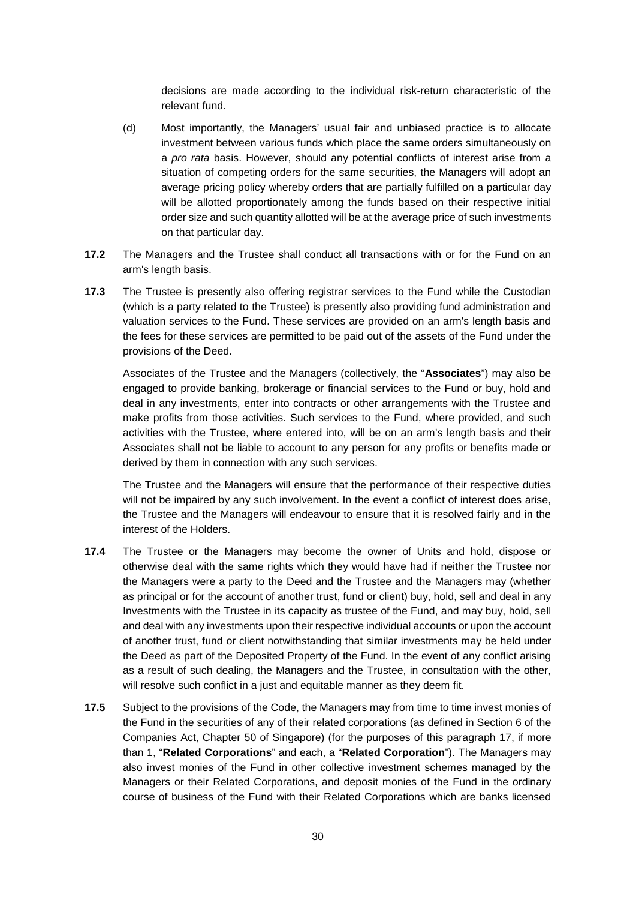decisions are made according to the individual risk-return characteristic of the relevant fund.

- (d) Most importantly, the Managers' usual fair and unbiased practice is to allocate investment between various funds which place the same orders simultaneously on a *pro rata* basis. However, should any potential conflicts of interest arise from a situation of competing orders for the same securities, the Managers will adopt an average pricing policy whereby orders that are partially fulfilled on a particular day will be allotted proportionately among the funds based on their respective initial order size and such quantity allotted will be at the average price of such investments on that particular day.
- **17.2** The Managers and the Trustee shall conduct all transactions with or for the Fund on an arm's length basis.
- **17.3** The Trustee is presently also offering registrar services to the Fund while the Custodian (which is a party related to the Trustee) is presently also providing fund administration and valuation services to the Fund. These services are provided on an arm's length basis and the fees for these services are permitted to be paid out of the assets of the Fund under the provisions of the Deed.

Associates of the Trustee and the Managers (collectively, the "**Associates**") may also be engaged to provide banking, brokerage or financial services to the Fund or buy, hold and deal in any investments, enter into contracts or other arrangements with the Trustee and make profits from those activities. Such services to the Fund, where provided, and such activities with the Trustee, where entered into, will be on an arm's length basis and their Associates shall not be liable to account to any person for any profits or benefits made or derived by them in connection with any such services.

The Trustee and the Managers will ensure that the performance of their respective duties will not be impaired by any such involvement. In the event a conflict of interest does arise, the Trustee and the Managers will endeavour to ensure that it is resolved fairly and in the interest of the Holders.

- **17.4** The Trustee or the Managers may become the owner of Units and hold, dispose or otherwise deal with the same rights which they would have had if neither the Trustee nor the Managers were a party to the Deed and the Trustee and the Managers may (whether as principal or for the account of another trust, fund or client) buy, hold, sell and deal in any Investments with the Trustee in its capacity as trustee of the Fund, and may buy, hold, sell and deal with any investments upon their respective individual accounts or upon the account of another trust, fund or client notwithstanding that similar investments may be held under the Deed as part of the Deposited Property of the Fund. In the event of any conflict arising as a result of such dealing, the Managers and the Trustee, in consultation with the other, will resolve such conflict in a just and equitable manner as they deem fit.
- **17.5** Subject to the provisions of the Code, the Managers may from time to time invest monies of the Fund in the securities of any of their related corporations (as defined in Section 6 of the Companies Act, Chapter 50 of Singapore) (for the purposes of this paragraph 17, if more than 1, "**Related Corporations**" and each, a "**Related Corporation**"). The Managers may also invest monies of the Fund in other collective investment schemes managed by the Managers or their Related Corporations, and deposit monies of the Fund in the ordinary course of business of the Fund with their Related Corporations which are banks licensed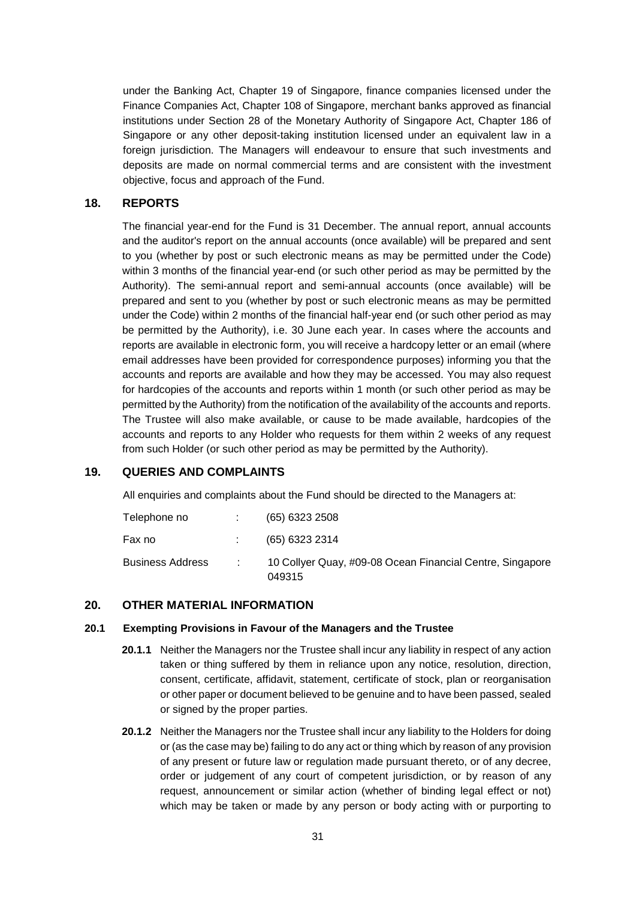under the Banking Act, Chapter 19 of Singapore, finance companies licensed under the Finance Companies Act, Chapter 108 of Singapore, merchant banks approved as financial institutions under Section 28 of the Monetary Authority of Singapore Act, Chapter 186 of Singapore or any other deposit-taking institution licensed under an equivalent law in a foreign jurisdiction. The Managers will endeavour to ensure that such investments and deposits are made on normal commercial terms and are consistent with the investment objective, focus and approach of the Fund.

### <span id="page-37-0"></span>**18. REPORTS**

The financial year-end for the Fund is 31 December. The annual report, annual accounts and the auditor's report on the annual accounts (once available) will be prepared and sent to you (whether by post or such electronic means as may be permitted under the Code) within 3 months of the financial year-end (or such other period as may be permitted by the Authority). The semi-annual report and semi-annual accounts (once available) will be prepared and sent to you (whether by post or such electronic means as may be permitted under the Code) within 2 months of the financial half-year end (or such other period as may be permitted by the Authority), i.e. 30 June each year. In cases where the accounts and reports are available in electronic form, you will receive a hardcopy letter or an email (where email addresses have been provided for correspondence purposes) informing you that the accounts and reports are available and how they may be accessed. You may also request for hardcopies of the accounts and reports within 1 month (or such other period as may be permitted by the Authority) from the notification of the availability of the accounts and reports. The Trustee will also make available, or cause to be made available, hardcopies of the accounts and reports to any Holder who requests for them within 2 weeks of any request from such Holder (or such other period as may be permitted by the Authority).

### <span id="page-37-1"></span>**19. QUERIES AND COMPLAINTS**

All enquiries and complaints about the Fund should be directed to the Managers at:

| Telephone no     | $(65)$ 6323 2508                                                    |
|------------------|---------------------------------------------------------------------|
| Fax no           | (65) 6323 2314                                                      |
| Business Address | 10 Collyer Quay, #09-08 Ocean Financial Centre, Singapore<br>049315 |

# <span id="page-37-2"></span>**20. OTHER MATERIAL INFORMATION**

#### **20.1 Exempting Provisions in Favour of the Managers and the Trustee**

- **20.1.1** Neither the Managers nor the Trustee shall incur any liability in respect of any action taken or thing suffered by them in reliance upon any notice, resolution, direction, consent, certificate, affidavit, statement, certificate of stock, plan or reorganisation or other paper or document believed to be genuine and to have been passed, sealed or signed by the proper parties.
- **20.1.2** Neither the Managers nor the Trustee shall incur any liability to the Holders for doing or (as the case may be) failing to do any act or thing which by reason of any provision of any present or future law or regulation made pursuant thereto, or of any decree, order or judgement of any court of competent jurisdiction, or by reason of any request, announcement or similar action (whether of binding legal effect or not) which may be taken or made by any person or body acting with or purporting to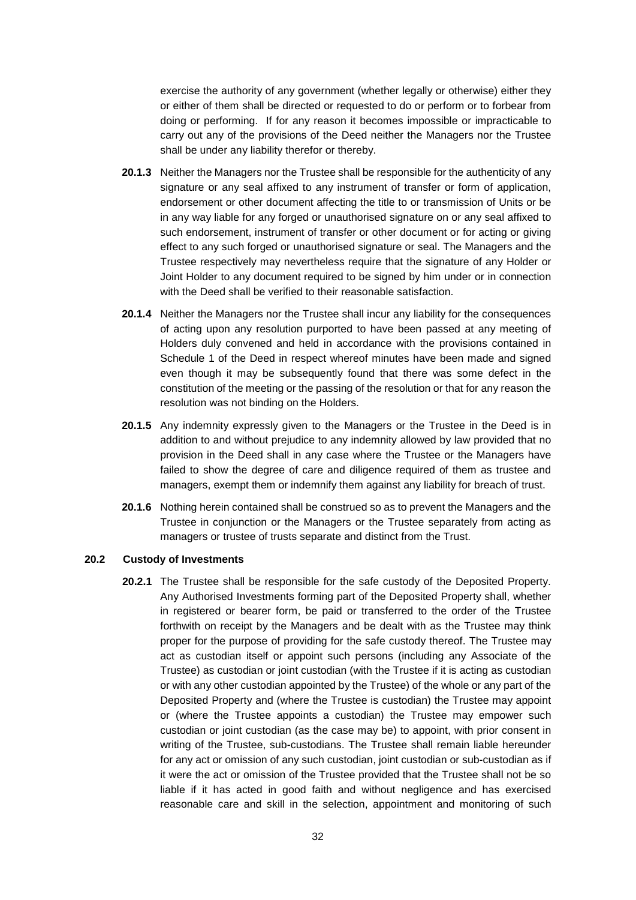exercise the authority of any government (whether legally or otherwise) either they or either of them shall be directed or requested to do or perform or to forbear from doing or performing. If for any reason it becomes impossible or impracticable to carry out any of the provisions of the Deed neither the Managers nor the Trustee shall be under any liability therefor or thereby.

- **20.1.3** Neither the Managers nor the Trustee shall be responsible for the authenticity of any signature or any seal affixed to any instrument of transfer or form of application, endorsement or other document affecting the title to or transmission of Units or be in any way liable for any forged or unauthorised signature on or any seal affixed to such endorsement, instrument of transfer or other document or for acting or giving effect to any such forged or unauthorised signature or seal. The Managers and the Trustee respectively may nevertheless require that the signature of any Holder or Joint Holder to any document required to be signed by him under or in connection with the Deed shall be verified to their reasonable satisfaction.
- **20.1.4** Neither the Managers nor the Trustee shall incur any liability for the consequences of acting upon any resolution purported to have been passed at any meeting of Holders duly convened and held in accordance with the provisions contained in Schedule 1 of the Deed in respect whereof minutes have been made and signed even though it may be subsequently found that there was some defect in the constitution of the meeting or the passing of the resolution or that for any reason the resolution was not binding on the Holders.
- **20.1.5** Any indemnity expressly given to the Managers or the Trustee in the Deed is in addition to and without prejudice to any indemnity allowed by law provided that no provision in the Deed shall in any case where the Trustee or the Managers have failed to show the degree of care and diligence required of them as trustee and managers, exempt them or indemnify them against any liability for breach of trust.
- **20.1.6** Nothing herein contained shall be construed so as to prevent the Managers and the Trustee in conjunction or the Managers or the Trustee separately from acting as managers or trustee of trusts separate and distinct from the Trust.

### **20.2 Custody of Investments**

**20.2.1** The Trustee shall be responsible for the safe custody of the Deposited Property. Any Authorised Investments forming part of the Deposited Property shall, whether in registered or bearer form, be paid or transferred to the order of the Trustee forthwith on receipt by the Managers and be dealt with as the Trustee may think proper for the purpose of providing for the safe custody thereof. The Trustee may act as custodian itself or appoint such persons (including any Associate of the Trustee) as custodian or joint custodian (with the Trustee if it is acting as custodian or with any other custodian appointed by the Trustee) of the whole or any part of the Deposited Property and (where the Trustee is custodian) the Trustee may appoint or (where the Trustee appoints a custodian) the Trustee may empower such custodian or joint custodian (as the case may be) to appoint, with prior consent in writing of the Trustee, sub-custodians. The Trustee shall remain liable hereunder for any act or omission of any such custodian, joint custodian or sub-custodian as if it were the act or omission of the Trustee provided that the Trustee shall not be so liable if it has acted in good faith and without negligence and has exercised reasonable care and skill in the selection, appointment and monitoring of such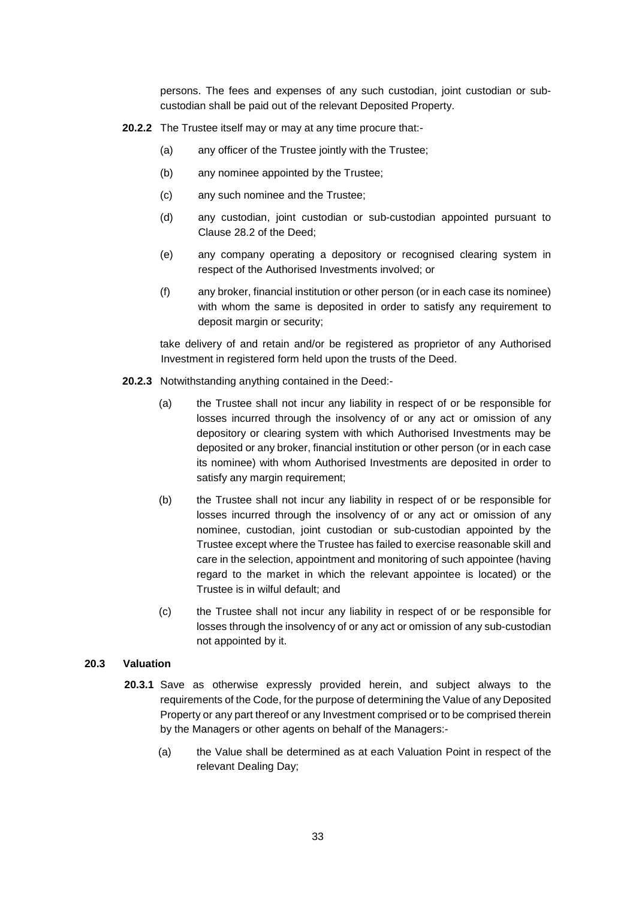persons. The fees and expenses of any such custodian, joint custodian or subcustodian shall be paid out of the relevant Deposited Property.

- **20.2.2** The Trustee itself may or may at any time procure that:-
	- (a) any officer of the Trustee jointly with the Trustee;
	- (b) any nominee appointed by the Trustee;
	- (c) any such nominee and the Trustee;
	- (d) any custodian, joint custodian or sub-custodian appointed pursuant to Clause 28.2 of the Deed;
	- (e) any company operating a depository or recognised clearing system in respect of the Authorised Investments involved; or
	- (f) any broker, financial institution or other person (or in each case its nominee) with whom the same is deposited in order to satisfy any requirement to deposit margin or security;

take delivery of and retain and/or be registered as proprietor of any Authorised Investment in registered form held upon the trusts of the Deed.

- **20.2.3** Notwithstanding anything contained in the Deed:-
	- (a) the Trustee shall not incur any liability in respect of or be responsible for losses incurred through the insolvency of or any act or omission of any depository or clearing system with which Authorised Investments may be deposited or any broker, financial institution or other person (or in each case its nominee) with whom Authorised Investments are deposited in order to satisfy any margin requirement;
	- (b) the Trustee shall not incur any liability in respect of or be responsible for losses incurred through the insolvency of or any act or omission of any nominee, custodian, joint custodian or sub-custodian appointed by the Trustee except where the Trustee has failed to exercise reasonable skill and care in the selection, appointment and monitoring of such appointee (having regard to the market in which the relevant appointee is located) or the Trustee is in wilful default; and
	- (c) the Trustee shall not incur any liability in respect of or be responsible for losses through the insolvency of or any act or omission of any sub-custodian not appointed by it.

### **20.3 Valuation**

- **20.3.1** Save as otherwise expressly provided herein, and subject always to the requirements of the Code, for the purpose of determining the Value of any Deposited Property or any part thereof or any Investment comprised or to be comprised therein by the Managers or other agents on behalf of the Managers:-
	- (a) the Value shall be determined as at each Valuation Point in respect of the relevant Dealing Day;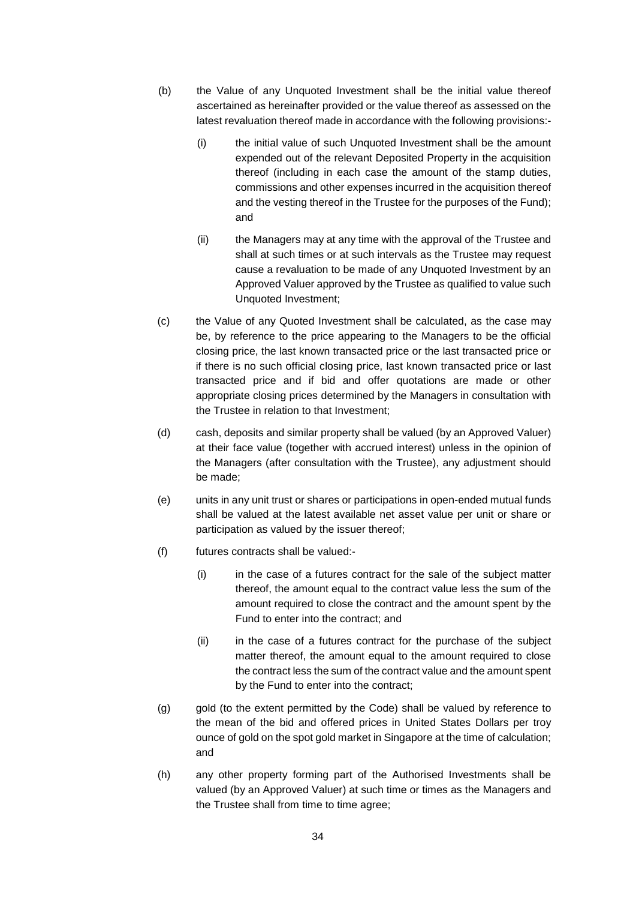- (b) the Value of any Unquoted Investment shall be the initial value thereof ascertained as hereinafter provided or the value thereof as assessed on the latest revaluation thereof made in accordance with the following provisions:-
	- (i) the initial value of such Unquoted Investment shall be the amount expended out of the relevant Deposited Property in the acquisition thereof (including in each case the amount of the stamp duties, commissions and other expenses incurred in the acquisition thereof and the vesting thereof in the Trustee for the purposes of the Fund); and
	- (ii) the Managers may at any time with the approval of the Trustee and shall at such times or at such intervals as the Trustee may request cause a revaluation to be made of any Unquoted Investment by an Approved Valuer approved by the Trustee as qualified to value such Unquoted Investment;
- (c) the Value of any Quoted Investment shall be calculated, as the case may be, by reference to the price appearing to the Managers to be the official closing price, the last known transacted price or the last transacted price or if there is no such official closing price, last known transacted price or last transacted price and if bid and offer quotations are made or other appropriate closing prices determined by the Managers in consultation with the Trustee in relation to that Investment;
- (d) cash, deposits and similar property shall be valued (by an Approved Valuer) at their face value (together with accrued interest) unless in the opinion of the Managers (after consultation with the Trustee), any adjustment should be made;
- (e) units in any unit trust or shares or participations in open-ended mutual funds shall be valued at the latest available net asset value per unit or share or participation as valued by the issuer thereof;
- (f) futures contracts shall be valued:-
	- (i) in the case of a futures contract for the sale of the subject matter thereof, the amount equal to the contract value less the sum of the amount required to close the contract and the amount spent by the Fund to enter into the contract; and
	- (ii) in the case of a futures contract for the purchase of the subject matter thereof, the amount equal to the amount required to close the contract less the sum of the contract value and the amount spent by the Fund to enter into the contract;
- (g) gold (to the extent permitted by the Code) shall be valued by reference to the mean of the bid and offered prices in United States Dollars per troy ounce of gold on the spot gold market in Singapore at the time of calculation; and
- (h) any other property forming part of the Authorised Investments shall be valued (by an Approved Valuer) at such time or times as the Managers and the Trustee shall from time to time agree;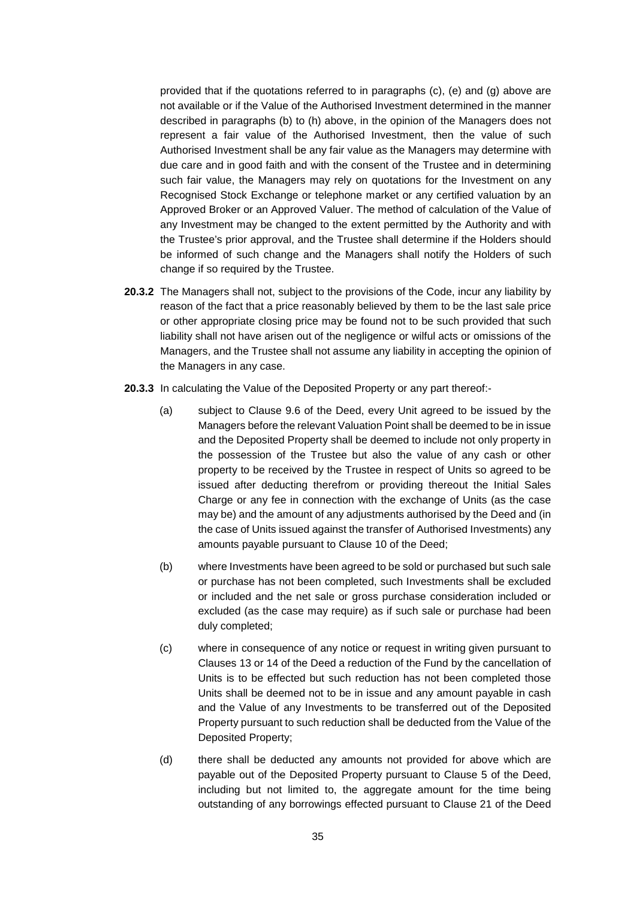provided that if the quotations referred to in paragraphs (c), (e) and (g) above are not available or if the Value of the Authorised Investment determined in the manner described in paragraphs (b) to (h) above, in the opinion of the Managers does not represent a fair value of the Authorised Investment, then the value of such Authorised Investment shall be any fair value as the Managers may determine with due care and in good faith and with the consent of the Trustee and in determining such fair value, the Managers may rely on quotations for the Investment on any Recognised Stock Exchange or telephone market or any certified valuation by an Approved Broker or an Approved Valuer. The method of calculation of the Value of any Investment may be changed to the extent permitted by the Authority and with the Trustee's prior approval, and the Trustee shall determine if the Holders should be informed of such change and the Managers shall notify the Holders of such change if so required by the Trustee.

- **20.3.2** The Managers shall not, subject to the provisions of the Code, incur any liability by reason of the fact that a price reasonably believed by them to be the last sale price or other appropriate closing price may be found not to be such provided that such liability shall not have arisen out of the negligence or wilful acts or omissions of the Managers, and the Trustee shall not assume any liability in accepting the opinion of the Managers in any case.
- **20.3.3** In calculating the Value of the Deposited Property or any part thereof:-
	- (a) subject to Clause 9.6 of the Deed, every Unit agreed to be issued by the Managers before the relevant Valuation Point shall be deemed to be in issue and the Deposited Property shall be deemed to include not only property in the possession of the Trustee but also the value of any cash or other property to be received by the Trustee in respect of Units so agreed to be issued after deducting therefrom or providing thereout the Initial Sales Charge or any fee in connection with the exchange of Units (as the case may be) and the amount of any adjustments authorised by the Deed and (in the case of Units issued against the transfer of Authorised Investments) any amounts payable pursuant to Clause 10 of the Deed;
	- (b) where Investments have been agreed to be sold or purchased but such sale or purchase has not been completed, such Investments shall be excluded or included and the net sale or gross purchase consideration included or excluded (as the case may require) as if such sale or purchase had been duly completed;
	- (c) where in consequence of any notice or request in writing given pursuant to Clauses 13 or 14 of the Deed a reduction of the Fund by the cancellation of Units is to be effected but such reduction has not been completed those Units shall be deemed not to be in issue and any amount payable in cash and the Value of any Investments to be transferred out of the Deposited Property pursuant to such reduction shall be deducted from the Value of the Deposited Property;
	- (d) there shall be deducted any amounts not provided for above which are payable out of the Deposited Property pursuant to Clause 5 of the Deed, including but not limited to, the aggregate amount for the time being outstanding of any borrowings effected pursuant to Clause 21 of the Deed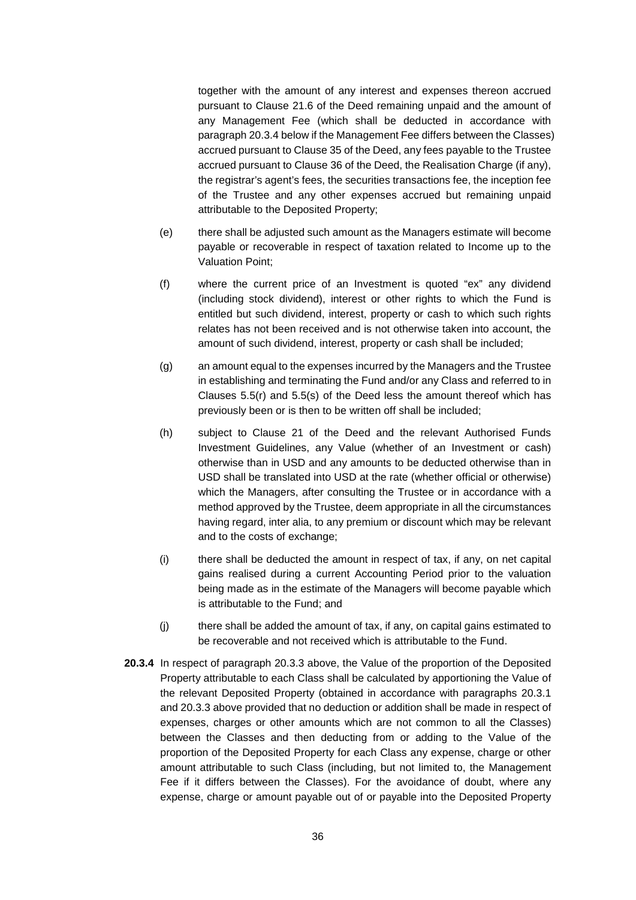together with the amount of any interest and expenses thereon accrued pursuant to Clause 21.6 of the Deed remaining unpaid and the amount of any Management Fee (which shall be deducted in accordance with paragraph 20.3.4 below if the Management Fee differs between the Classes) accrued pursuant to Clause 35 of the Deed, any fees payable to the Trustee accrued pursuant to Clause 36 of the Deed, the Realisation Charge (if any), the registrar's agent's fees, the securities transactions fee, the inception fee of the Trustee and any other expenses accrued but remaining unpaid attributable to the Deposited Property;

- (e) there shall be adjusted such amount as the Managers estimate will become payable or recoverable in respect of taxation related to Income up to the Valuation Point;
- (f) where the current price of an Investment is quoted "ex" any dividend (including stock dividend), interest or other rights to which the Fund is entitled but such dividend, interest, property or cash to which such rights relates has not been received and is not otherwise taken into account, the amount of such dividend, interest, property or cash shall be included;
- (g) an amount equal to the expenses incurred by the Managers and the Trustee in establishing and terminating the Fund and/or any Class and referred to in Clauses 5.5(r) and 5.5(s) of the Deed less the amount thereof which has previously been or is then to be written off shall be included;
- (h) subject to Clause 21 of the Deed and the relevant Authorised Funds Investment Guidelines, any Value (whether of an Investment or cash) otherwise than in USD and any amounts to be deducted otherwise than in USD shall be translated into USD at the rate (whether official or otherwise) which the Managers, after consulting the Trustee or in accordance with a method approved by the Trustee, deem appropriate in all the circumstances having regard, inter alia, to any premium or discount which may be relevant and to the costs of exchange;
- (i) there shall be deducted the amount in respect of tax, if any, on net capital gains realised during a current Accounting Period prior to the valuation being made as in the estimate of the Managers will become payable which is attributable to the Fund; and
- (j) there shall be added the amount of tax, if any, on capital gains estimated to be recoverable and not received which is attributable to the Fund.
- **20.3.4** In respect of paragraph 20.3.3 above, the Value of the proportion of the Deposited Property attributable to each Class shall be calculated by apportioning the Value of the relevant Deposited Property (obtained in accordance with paragraphs 20.3.1 and 20.3.3 above provided that no deduction or addition shall be made in respect of expenses, charges or other amounts which are not common to all the Classes) between the Classes and then deducting from or adding to the Value of the proportion of the Deposited Property for each Class any expense, charge or other amount attributable to such Class (including, but not limited to, the Management Fee if it differs between the Classes). For the avoidance of doubt, where any expense, charge or amount payable out of or payable into the Deposited Property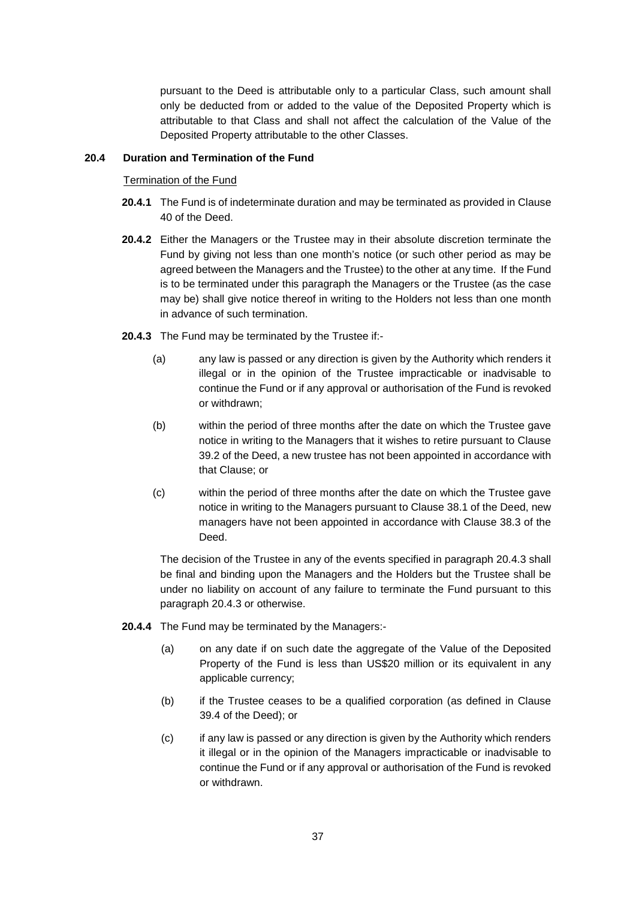pursuant to the Deed is attributable only to a particular Class, such amount shall only be deducted from or added to the value of the Deposited Property which is attributable to that Class and shall not affect the calculation of the Value of the Deposited Property attributable to the other Classes.

# **20.4 Duration and Termination of the Fund**

Termination of the Fund

- **20.4.1** The Fund is of indeterminate duration and may be terminated as provided in Clause 40 of the Deed.
- **20.4.2** Either the Managers or the Trustee may in their absolute discretion terminate the Fund by giving not less than one month's notice (or such other period as may be agreed between the Managers and the Trustee) to the other at any time. If the Fund is to be terminated under this paragraph the Managers or the Trustee (as the case may be) shall give notice thereof in writing to the Holders not less than one month in advance of such termination.
- **20.4.3** The Fund may be terminated by the Trustee if:-
	- (a) any law is passed or any direction is given by the Authority which renders it illegal or in the opinion of the Trustee impracticable or inadvisable to continue the Fund or if any approval or authorisation of the Fund is revoked or withdrawn;
	- (b) within the period of three months after the date on which the Trustee gave notice in writing to the Managers that it wishes to retire pursuant to Clause 39.2 of the Deed, a new trustee has not been appointed in accordance with that Clause; or
	- (c) within the period of three months after the date on which the Trustee gave notice in writing to the Managers pursuant to Clause 38.1 of the Deed, new managers have not been appointed in accordance with Clause 38.3 of the Deed.

The decision of the Trustee in any of the events specified in paragraph 20.4.3 shall be final and binding upon the Managers and the Holders but the Trustee shall be under no liability on account of any failure to terminate the Fund pursuant to this paragraph 20.4.3 or otherwise.

- **20.4.4** The Fund may be terminated by the Managers:-
	- (a) on any date if on such date the aggregate of the Value of the Deposited Property of the Fund is less than US\$20 million or its equivalent in any applicable currency;
	- (b) if the Trustee ceases to be a qualified corporation (as defined in Clause 39.4 of the Deed); or
	- (c) if any law is passed or any direction is given by the Authority which renders it illegal or in the opinion of the Managers impracticable or inadvisable to continue the Fund or if any approval or authorisation of the Fund is revoked or withdrawn.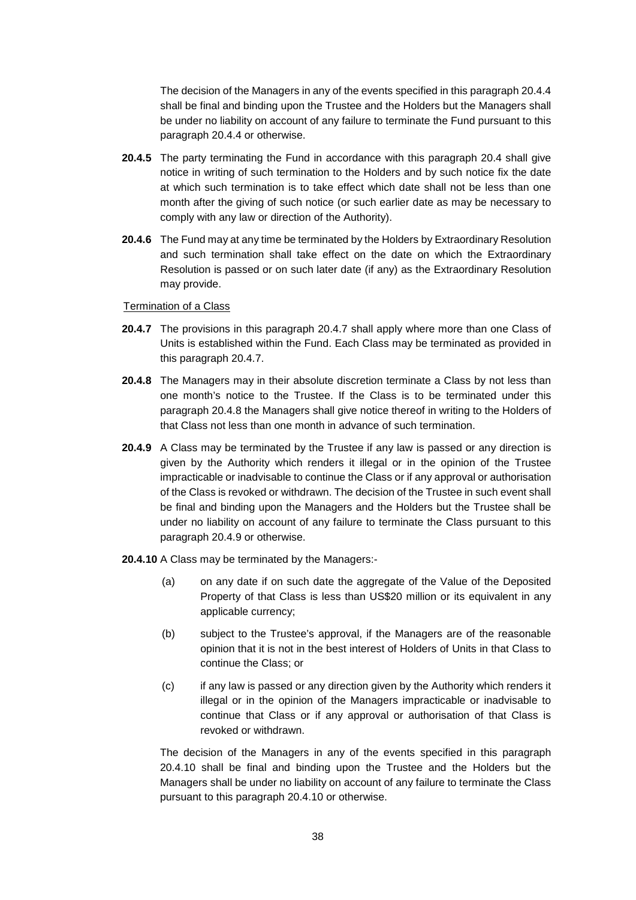The decision of the Managers in any of the events specified in this paragraph 20.4.4 shall be final and binding upon the Trustee and the Holders but the Managers shall be under no liability on account of any failure to terminate the Fund pursuant to this paragraph 20.4.4 or otherwise.

- **20.4.5** The party terminating the Fund in accordance with this paragraph 20.4 shall give notice in writing of such termination to the Holders and by such notice fix the date at which such termination is to take effect which date shall not be less than one month after the giving of such notice (or such earlier date as may be necessary to comply with any law or direction of the Authority).
- **20.4.6** The Fund may at any time be terminated by the Holders by Extraordinary Resolution and such termination shall take effect on the date on which the Extraordinary Resolution is passed or on such later date (if any) as the Extraordinary Resolution may provide.

#### Termination of a Class

- **20.4.7** The provisions in this paragraph 20.4.7 shall apply where more than one Class of Units is established within the Fund. Each Class may be terminated as provided in this paragraph 20.4.7.
- **20.4.8** The Managers may in their absolute discretion terminate a Class by not less than one month's notice to the Trustee. If the Class is to be terminated under this paragraph 20.4.8 the Managers shall give notice thereof in writing to the Holders of that Class not less than one month in advance of such termination.
- **20.4.9** A Class may be terminated by the Trustee if any law is passed or any direction is given by the Authority which renders it illegal or in the opinion of the Trustee impracticable or inadvisable to continue the Class or if any approval or authorisation of the Class is revoked or withdrawn. The decision of the Trustee in such event shall be final and binding upon the Managers and the Holders but the Trustee shall be under no liability on account of any failure to terminate the Class pursuant to this paragraph 20.4.9 or otherwise.
- **20.4.10** A Class may be terminated by the Managers:-
	- (a) on any date if on such date the aggregate of the Value of the Deposited Property of that Class is less than US\$20 million or its equivalent in any applicable currency;
	- (b) subject to the Trustee's approval, if the Managers are of the reasonable opinion that it is not in the best interest of Holders of Units in that Class to continue the Class; or
	- (c) if any law is passed or any direction given by the Authority which renders it illegal or in the opinion of the Managers impracticable or inadvisable to continue that Class or if any approval or authorisation of that Class is revoked or withdrawn.

The decision of the Managers in any of the events specified in this paragraph 20.4.10 shall be final and binding upon the Trustee and the Holders but the Managers shall be under no liability on account of any failure to terminate the Class pursuant to this paragraph 20.4.10 or otherwise.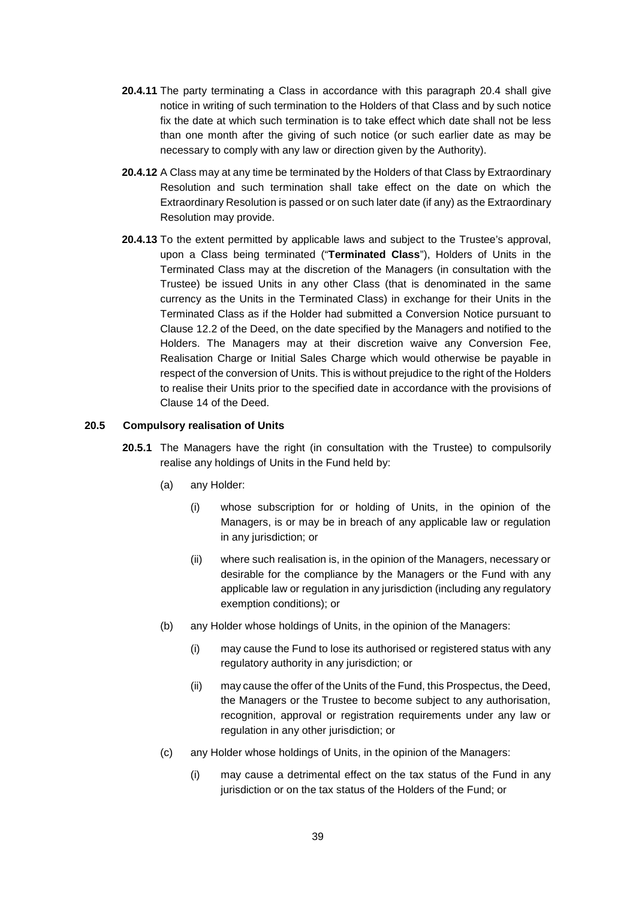- **20.4.11** The party terminating a Class in accordance with this paragraph 20.4 shall give notice in writing of such termination to the Holders of that Class and by such notice fix the date at which such termination is to take effect which date shall not be less than one month after the giving of such notice (or such earlier date as may be necessary to comply with any law or direction given by the Authority).
- **20.4.12** A Class may at any time be terminated by the Holders of that Class by Extraordinary Resolution and such termination shall take effect on the date on which the Extraordinary Resolution is passed or on such later date (if any) as the Extraordinary Resolution may provide.
- **20.4.13** To the extent permitted by applicable laws and subject to the Trustee's approval, upon a Class being terminated ("**Terminated Class**"), Holders of Units in the Terminated Class may at the discretion of the Managers (in consultation with the Trustee) be issued Units in any other Class (that is denominated in the same currency as the Units in the Terminated Class) in exchange for their Units in the Terminated Class as if the Holder had submitted a Conversion Notice pursuant to Clause 12.2 of the Deed, on the date specified by the Managers and notified to the Holders. The Managers may at their discretion waive any Conversion Fee, Realisation Charge or Initial Sales Charge which would otherwise be payable in respect of the conversion of Units. This is without prejudice to the right of the Holders to realise their Units prior to the specified date in accordance with the provisions of Clause 14 of the Deed.

#### **20.5 Compulsory realisation of Units**

- **20.5.1** The Managers have the right (in consultation with the Trustee) to compulsorily realise any holdings of Units in the Fund held by:
	- (a) any Holder:
		- (i) whose subscription for or holding of Units, in the opinion of the Managers, is or may be in breach of any applicable law or regulation in any jurisdiction; or
		- (ii) where such realisation is, in the opinion of the Managers, necessary or desirable for the compliance by the Managers or the Fund with any applicable law or regulation in any jurisdiction (including any regulatory exemption conditions); or
	- (b) any Holder whose holdings of Units, in the opinion of the Managers:
		- (i) may cause the Fund to lose its authorised or registered status with any regulatory authority in any jurisdiction; or
		- (ii) may cause the offer of the Units of the Fund, this Prospectus, the Deed, the Managers or the Trustee to become subject to any authorisation, recognition, approval or registration requirements under any law or regulation in any other jurisdiction; or
	- (c) any Holder whose holdings of Units, in the opinion of the Managers:
		- (i) may cause a detrimental effect on the tax status of the Fund in any jurisdiction or on the tax status of the Holders of the Fund; or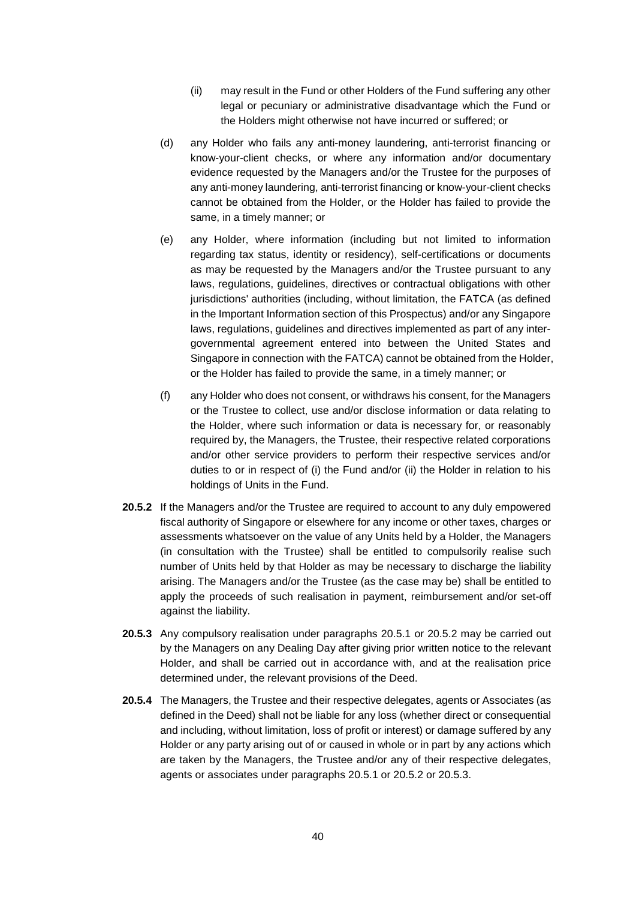- (ii) may result in the Fund or other Holders of the Fund suffering any other legal or pecuniary or administrative disadvantage which the Fund or the Holders might otherwise not have incurred or suffered; or
- (d) any Holder who fails any anti-money laundering, anti-terrorist financing or know-your-client checks, or where any information and/or documentary evidence requested by the Managers and/or the Trustee for the purposes of any anti-money laundering, anti-terrorist financing or know-your-client checks cannot be obtained from the Holder, or the Holder has failed to provide the same, in a timely manner; or
- (e) any Holder, where information (including but not limited to information regarding tax status, identity or residency), self-certifications or documents as may be requested by the Managers and/or the Trustee pursuant to any laws, regulations, guidelines, directives or contractual obligations with other jurisdictions' authorities (including, without limitation, the FATCA (as defined in the Important Information section of this Prospectus) and/or any Singapore laws, regulations, guidelines and directives implemented as part of any intergovernmental agreement entered into between the United States and Singapore in connection with the FATCA) cannot be obtained from the Holder, or the Holder has failed to provide the same, in a timely manner; or
- (f) any Holder who does not consent, or withdraws his consent, for the Managers or the Trustee to collect, use and/or disclose information or data relating to the Holder, where such information or data is necessary for, or reasonably required by, the Managers, the Trustee, their respective related corporations and/or other service providers to perform their respective services and/or duties to or in respect of (i) the Fund and/or (ii) the Holder in relation to his holdings of Units in the Fund.
- **20.5.2** If the Managers and/or the Trustee are required to account to any duly empowered fiscal authority of Singapore or elsewhere for any income or other taxes, charges or assessments whatsoever on the value of any Units held by a Holder, the Managers (in consultation with the Trustee) shall be entitled to compulsorily realise such number of Units held by that Holder as may be necessary to discharge the liability arising. The Managers and/or the Trustee (as the case may be) shall be entitled to apply the proceeds of such realisation in payment, reimbursement and/or set-off against the liability.
- **20.5.3** Any compulsory realisation under paragraphs 20.5.1 or 20.5.2 may be carried out by the Managers on any Dealing Day after giving prior written notice to the relevant Holder, and shall be carried out in accordance with, and at the realisation price determined under, the relevant provisions of the Deed.
- **20.5.4** The Managers, the Trustee and their respective delegates, agents or Associates (as defined in the Deed) shall not be liable for any loss (whether direct or consequential and including, without limitation, loss of profit or interest) or damage suffered by any Holder or any party arising out of or caused in whole or in part by any actions which are taken by the Managers, the Trustee and/or any of their respective delegates, agents or associates under paragraphs 20.5.1 or 20.5.2 or 20.5.3.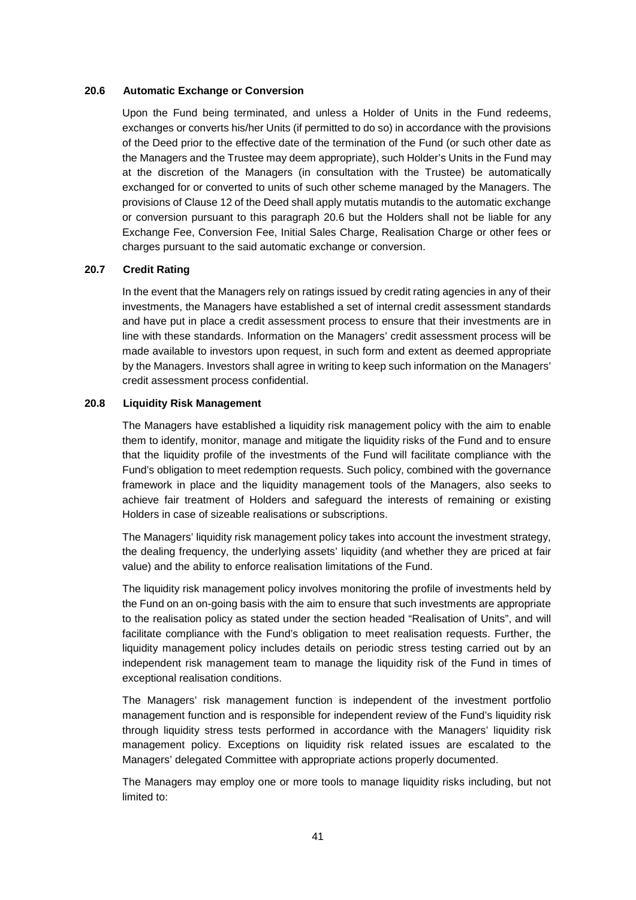#### **20.6 Automatic Exchange or Conversion**

Upon the Fund being terminated, and unless a Holder of Units in the Fund redeems, exchanges or converts his/her Units (if permitted to do so) in accordance with the provisions of the Deed prior to the effective date of the termination of the Fund (or such other date as the Managers and the Trustee may deem appropriate), such Holder's Units in the Fund may at the discretion of the Managers (in consultation with the Trustee) be automatically exchanged for or converted to units of such other scheme managed by the Managers. The provisions of Clause 12 of the Deed shall apply mutatis mutandis to the automatic exchange or conversion pursuant to this paragraph 20.6 but the Holders shall not be liable for any Exchange Fee, Conversion Fee, Initial Sales Charge, Realisation Charge or other fees or charges pursuant to the said automatic exchange or conversion.

### **20.7 Credit Rating**

In the event that the Managers rely on ratings issued by credit rating agencies in any of their investments, the Managers have established a set of internal credit assessment standards and have put in place a credit assessment process to ensure that their investments are in line with these standards. Information on the Managers' credit assessment process will be made available to investors upon request, in such form and extent as deemed appropriate by the Managers. Investors shall agree in writing to keep such information on the Managers' credit assessment process confidential.

### **20.8 Liquidity Risk Management**

The Managers have established a liquidity risk management policy with the aim to enable them to identify, monitor, manage and mitigate the liquidity risks of the Fund and to ensure that the liquidity profile of the investments of the Fund will facilitate compliance with the Fund's obligation to meet redemption requests. Such policy, combined with the governance framework in place and the liquidity management tools of the Managers, also seeks to achieve fair treatment of Holders and safeguard the interests of remaining or existing Holders in case of sizeable realisations or subscriptions.

The Managers' liquidity risk management policy takes into account the investment strategy, the dealing frequency, the underlying assets' liquidity (and whether they are priced at fair value) and the ability to enforce realisation limitations of the Fund.

The liquidity risk management policy involves monitoring the profile of investments held by the Fund on an on-going basis with the aim to ensure that such investments are appropriate to the realisation policy as stated under the section headed "Realisation of Units", and will facilitate compliance with the Fund's obligation to meet realisation requests. Further, the liquidity management policy includes details on periodic stress testing carried out by an independent risk management team to manage the liquidity risk of the Fund in times of exceptional realisation conditions.

The Managers' risk management function is independent of the investment portfolio management function and is responsible for independent review of the Fund's liquidity risk through liquidity stress tests performed in accordance with the Managers' liquidity risk management policy. Exceptions on liquidity risk related issues are escalated to the Managers' delegated Committee with appropriate actions properly documented.

The Managers may employ one or more tools to manage liquidity risks including, but not limited to: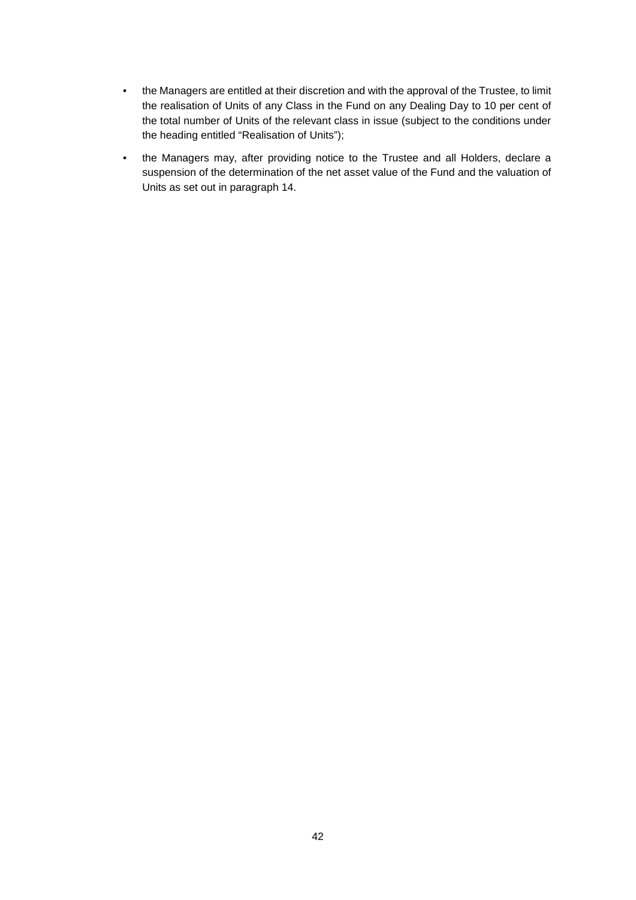- the Managers are entitled at their discretion and with the approval of the Trustee, to limit the realisation of Units of any Class in the Fund on any Dealing Day to 10 per cent of the total number of Units of the relevant class in issue (subject to the conditions under the heading entitled "Realisation of Units");
- the Managers may, after providing notice to the Trustee and all Holders, declare a suspension of the determination of the net asset value of the Fund and the valuation of Units as set out in paragraph 14.